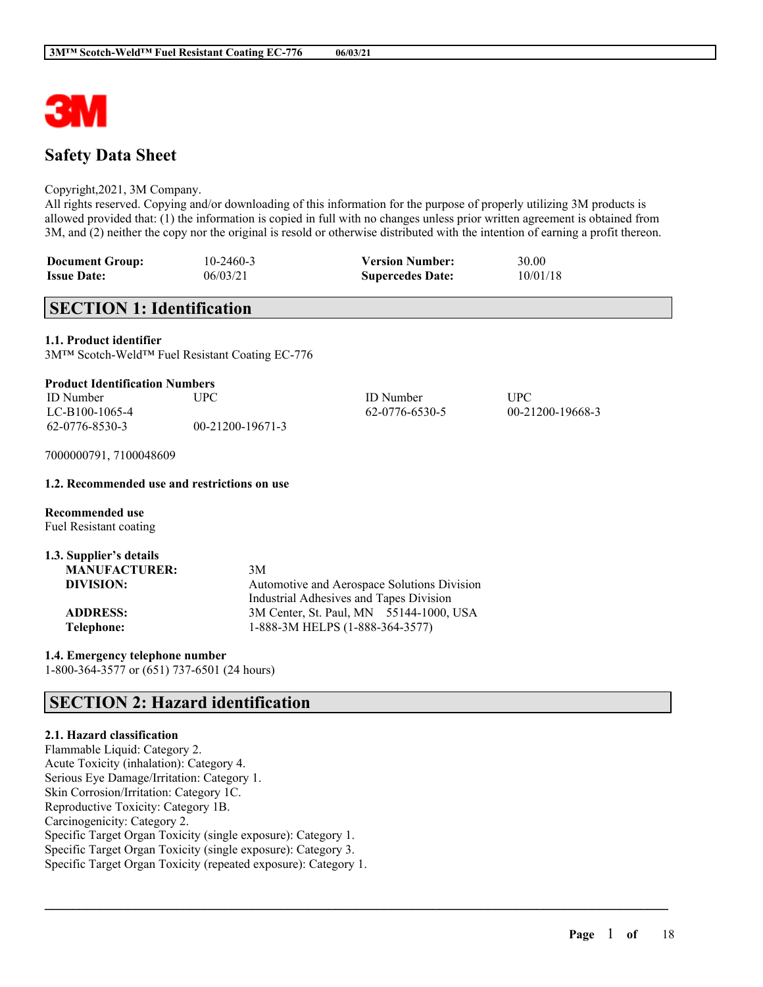

# **Safety Data Sheet**

#### Copyright,2021, 3M Company.

All rights reserved. Copying and/or downloading of this information for the purpose of properly utilizing 3M products is allowed provided that: (1) the information is copied in full with no changes unless prior written agreement is obtained from 3M, and (2) neither the copy nor the original is resold or otherwise distributed with the intention of earning a profit thereon.

| <b>Document Group:</b> | 10-2460-3 | <b>Version Number:</b>  | 30.00    |
|------------------------|-----------|-------------------------|----------|
| <b>Issue Date:</b>     | 06/03/21  | <b>Supercedes Date:</b> | 10/01/18 |

# **SECTION 1: Identification**

**1.1. Product identifier**

3M™ Scotch-Weld™ Fuel Resistant Coating EC-776

| <b>ID</b> Number | UPC              | <b>ID</b> Number | UPC              |
|------------------|------------------|------------------|------------------|
| LC-B100-1065-4   |                  | 62-0776-6530-5   | 00-21200-19668-3 |
| 62-0776-8530-3   | 00-21200-19671-3 |                  |                  |

 $\mathcal{L}_\mathcal{L} = \mathcal{L}_\mathcal{L} = \mathcal{L}_\mathcal{L} = \mathcal{L}_\mathcal{L} = \mathcal{L}_\mathcal{L} = \mathcal{L}_\mathcal{L} = \mathcal{L}_\mathcal{L} = \mathcal{L}_\mathcal{L} = \mathcal{L}_\mathcal{L} = \mathcal{L}_\mathcal{L} = \mathcal{L}_\mathcal{L} = \mathcal{L}_\mathcal{L} = \mathcal{L}_\mathcal{L} = \mathcal{L}_\mathcal{L} = \mathcal{L}_\mathcal{L} = \mathcal{L}_\mathcal{L} = \mathcal{L}_\mathcal{L}$ 

7000000791, 7100048609

#### **1.2. Recommended use and restrictions on use**

**Recommended use** Fuel Resistant coating

| 1.3. Supplier's details |                                             |
|-------------------------|---------------------------------------------|
| <b>MANUFACTURER:</b>    | 3M                                          |
| DIVISION:               | Automotive and Aerospace Solutions Division |
|                         | Industrial Adhesives and Tapes Division     |
| <b>ADDRESS:</b>         | 3M Center, St. Paul, MN 55144-1000, USA     |
| Telephone:              | 1-888-3M HELPS (1-888-364-3577)             |

**1.4. Emergency telephone number** 1-800-364-3577 or (651) 737-6501 (24 hours)

# **SECTION 2: Hazard identification**

## **2.1. Hazard classification**

Flammable Liquid: Category 2. Acute Toxicity (inhalation): Category 4. Serious Eye Damage/Irritation: Category 1. Skin Corrosion/Irritation: Category 1C. Reproductive Toxicity: Category 1B. Carcinogenicity: Category 2. Specific Target Organ Toxicity (single exposure): Category 1. Specific Target Organ Toxicity (single exposure): Category 3. Specific Target Organ Toxicity (repeated exposure): Category 1.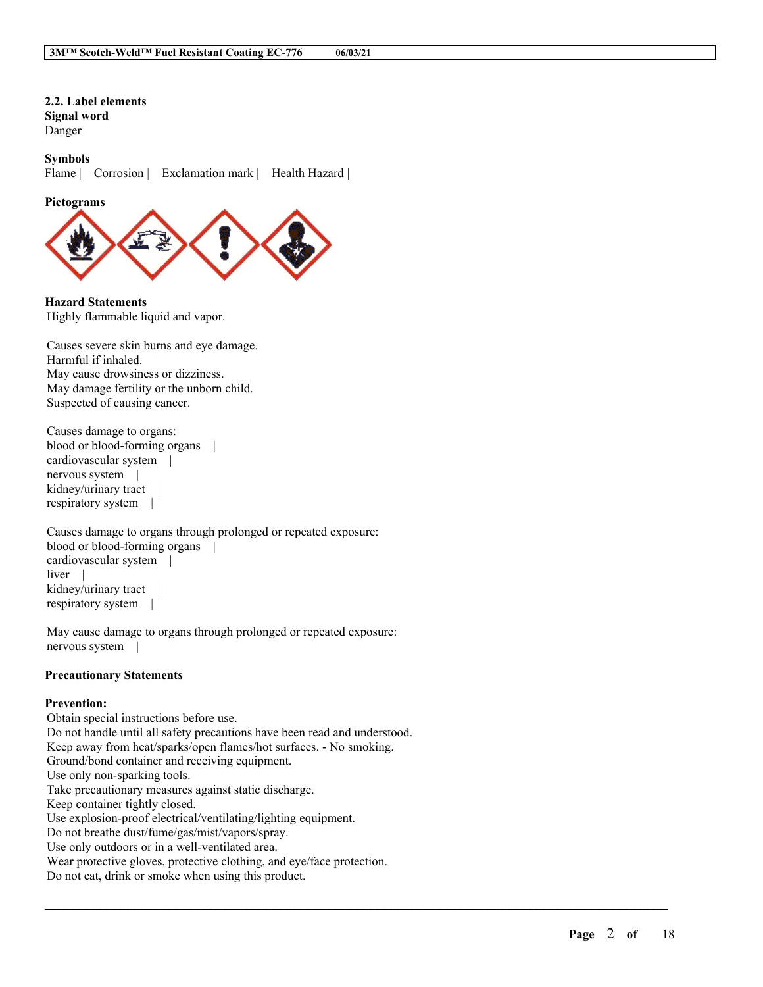**2.2. Label elements Signal word** Danger

**Symbols** Flame | Corrosion | Exclamation mark | Health Hazard |

**Pictograms**



**Hazard Statements** Highly flammable liquid and vapor.

Causes severe skin burns and eye damage. Harmful if inhaled. May cause drowsiness or dizziness. May damage fertility or the unborn child. Suspected of causing cancer.

Causes damage to organs: blood or blood-forming organs | cardiovascular system | nervous system | kidney/urinary tract | respiratory system |

Causes damage to organs through prolonged or repeated exposure: blood or blood-forming organs | cardiovascular system | liver kidney/urinary tract | respiratory system |

May cause damage to organs through prolonged or repeated exposure: nervous system |

### **Precautionary Statements**

#### **Prevention:**

Obtain special instructions before use. Do not handle until all safety precautions have been read and understood. Keep away from heat/sparks/open flames/hot surfaces. - No smoking. Ground/bond container and receiving equipment. Use only non-sparking tools. Take precautionary measures against static discharge. Keep container tightly closed. Use explosion-proof electrical/ventilating/lighting equipment. Do not breathe dust/fume/gas/mist/vapors/spray. Use only outdoors or in a well-ventilated area. Wear protective gloves, protective clothing, and eye/face protection. Do not eat, drink or smoke when using this product.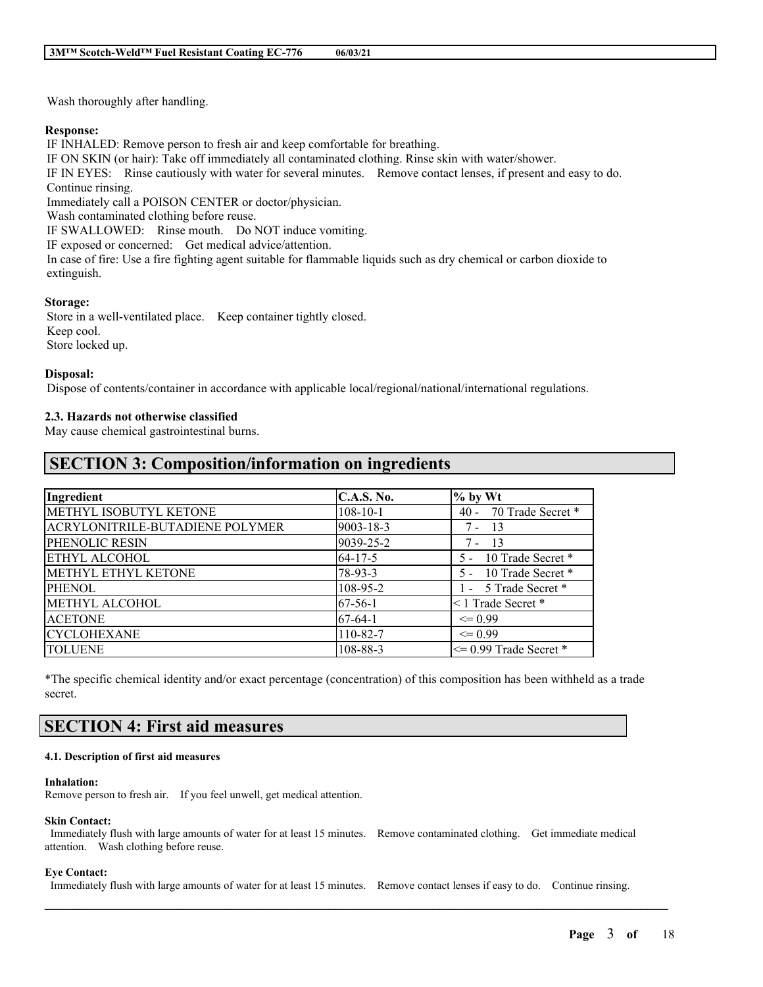Wash thoroughly after handling.

### **Response:**

IF INHALED: Remove person to fresh air and keep comfortable for breathing.

IF ON SKIN (or hair): Take off immediately all contaminated clothing. Rinse skin with water/shower.

IF IN EYES: Rinse cautiously with water for several minutes. Remove contact lenses, if present and easy to do. Continue rinsing.

Immediately call a POISON CENTER or doctor/physician.

Wash contaminated clothing before reuse.

IF SWALLOWED: Rinse mouth. Do NOT induce vomiting.

IF exposed or concerned: Get medical advice/attention.

In case of fire: Use a fire fighting agent suitable for flammable liquids such as dry chemical or carbon dioxide to extinguish.

### **Storage:**

Store in a well-ventilated place. Keep container tightly closed. Keep cool. Store locked up.

### **Disposal:**

Dispose of contents/container in accordance with applicable local/regional/national/international regulations.

## **2.3. Hazards not otherwise classified**

May cause chemical gastrointestinal burns.

## **SECTION 3: Composition/information on ingredients**

| Ingredient                      | <b>C.A.S. No.</b> | $\%$ by Wt                  |
|---------------------------------|-------------------|-----------------------------|
| METHYL ISOBUTYL KETONE          | $108 - 10 - 1$    | 70 Trade Secret *<br>$40 -$ |
| ACRYLONITRILE-BUTADIENE POLYMER | 9003-18-3         | -13<br>7 -                  |
| PHENOLIC RESIN                  | 9039-25-2         | 7 -<br>-13                  |
| <b>ETHYL ALCOHOL</b>            | $64 - 17 - 5$     | 10 Trade Secret *           |
| METHYL ETHYL KETONE             | $78-93-3$         | 10 Trade Secret *           |
| <b>PHENOL</b>                   | 108-95-2          | 1 - 5 Trade Secret *        |
| <b>METHYL ALCOHOL</b>           | $67-56-1$         | <1 Trade Secret *           |
| <b>ACETONE</b>                  | $67-64-1$         | $\leq$ 0.99                 |
| <b>CYCLOHEXANE</b>              | 110-82-7          | $\leq$ 0.99                 |
| <b>TOLUENE</b>                  | 108-88-3          | $\leq$ 0.99 Trade Secret *  |

\*The specific chemical identity and/or exact percentage (concentration) of this composition has been withheld as a trade secret.

# **SECTION 4: First aid measures**

#### **4.1. Description of first aid measures**

#### **Inhalation:**

Remove person to fresh air. If you feel unwell, get medical attention.

#### **Skin Contact:**

Immediately flush with large amounts of water for at least 15 minutes. Remove contaminated clothing. Get immediate medical attention. Wash clothing before reuse.

### **Eye Contact:**

Immediately flush with large amounts of water for at least 15 minutes. Remove contact lenses if easy to do. Continue rinsing.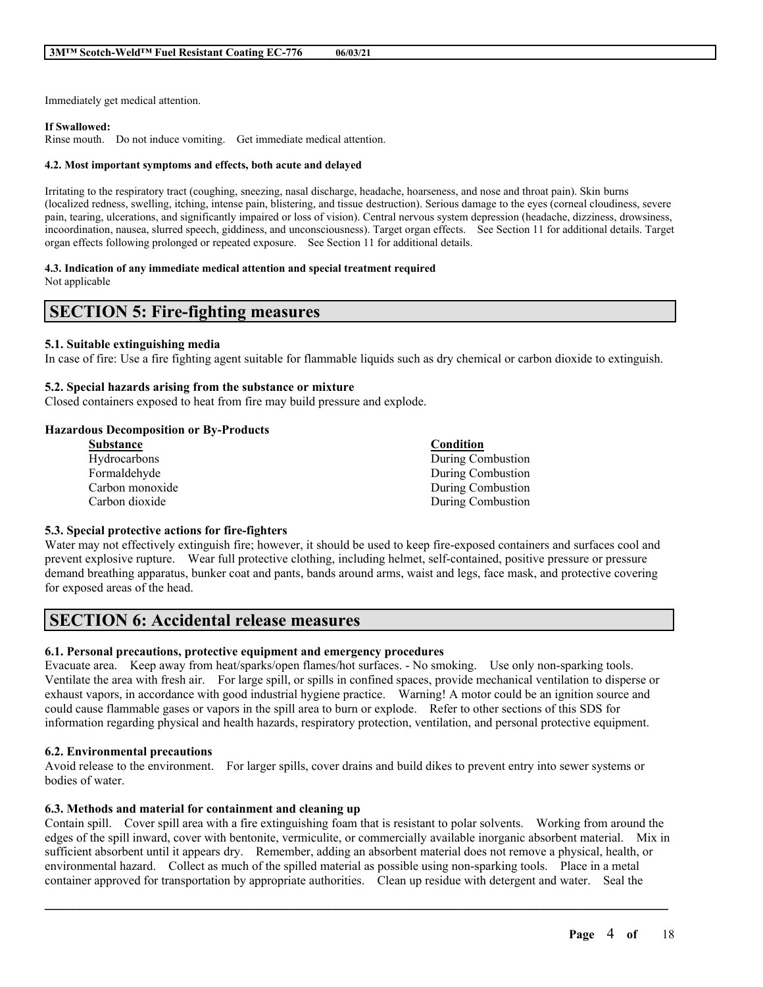Immediately get medical attention.

#### **If Swallowed:**

Rinse mouth. Do not induce vomiting. Get immediate medical attention.

#### **4.2. Most important symptoms and effects, both acute and delayed**

Irritating to the respiratory tract (coughing, sneezing, nasal discharge, headache, hoarseness, and nose and throat pain). Skin burns (localized redness, swelling, itching, intense pain, blistering, and tissue destruction). Serious damage to the eyes (corneal cloudiness, severe pain, tearing, ulcerations, and significantly impaired or loss of vision). Central nervous system depression (headache, dizziness, drowsiness, incoordination, nausea, slurred speech, giddiness, and unconsciousness). Target organ effects. See Section 11 for additional details. Target organ effects following prolonged or repeated exposure. See Section 11 for additional details.

#### **4.3. Indication of any immediate medical attention and special treatment required**

Not applicable

## **SECTION 5: Fire-fighting measures**

#### **5.1. Suitable extinguishing media**

In case of fire: Use a fire fighting agent suitable for flammable liquids such as dry chemical or carbon dioxide to extinguish.

#### **5.2. Special hazards arising from the substance or mixture**

Closed containers exposed to heat from fire may build pressure and explode.

#### **Hazardous Decomposition or By-Products**

| <b>Substance</b> | Condition         |
|------------------|-------------------|
| Hydrocarbons     | During Combustion |
| Formaldehyde     | During Combustion |
| Carbon monoxide  | During Combustion |
| Carbon dioxide   | During Combustion |

#### **5.3. Special protective actions for fire-fighters**

Water may not effectively extinguish fire; however, it should be used to keep fire-exposed containers and surfaces cool and prevent explosive rupture. Wear full protective clothing, including helmet, self-contained, positive pressure or pressure demand breathing apparatus, bunker coat and pants, bands around arms, waist and legs, face mask, and protective covering for exposed areas of the head.

## **SECTION 6: Accidental release measures**

#### **6.1. Personal precautions, protective equipment and emergency procedures**

Evacuate area. Keep away from heat/sparks/open flames/hot surfaces. - No smoking. Use only non-sparking tools. Ventilate the area with fresh air. For large spill, or spills in confined spaces, provide mechanical ventilation to disperse or exhaust vapors, in accordance with good industrial hygiene practice. Warning! A motor could be an ignition source and could cause flammable gases or vapors in the spill area to burn or explode. Refer to other sections of this SDS for information regarding physical and health hazards, respiratory protection, ventilation, and personal protective equipment.

#### **6.2. Environmental precautions**

Avoid release to the environment. For larger spills, cover drains and build dikes to prevent entry into sewer systems or bodies of water.

#### **6.3. Methods and material for containment and cleaning up**

Contain spill. Cover spill area with a fire extinguishing foam that is resistant to polar solvents. Working from around the edges of the spill inward, cover with bentonite, vermiculite, or commercially available inorganic absorbent material. Mix in sufficient absorbent until it appears dry. Remember, adding an absorbent material does not remove a physical, health, or environmental hazard. Collect as much of the spilled material as possible using non-sparking tools. Place in a metal container approved for transportation by appropriate authorities. Clean up residue with detergent and water. Seal the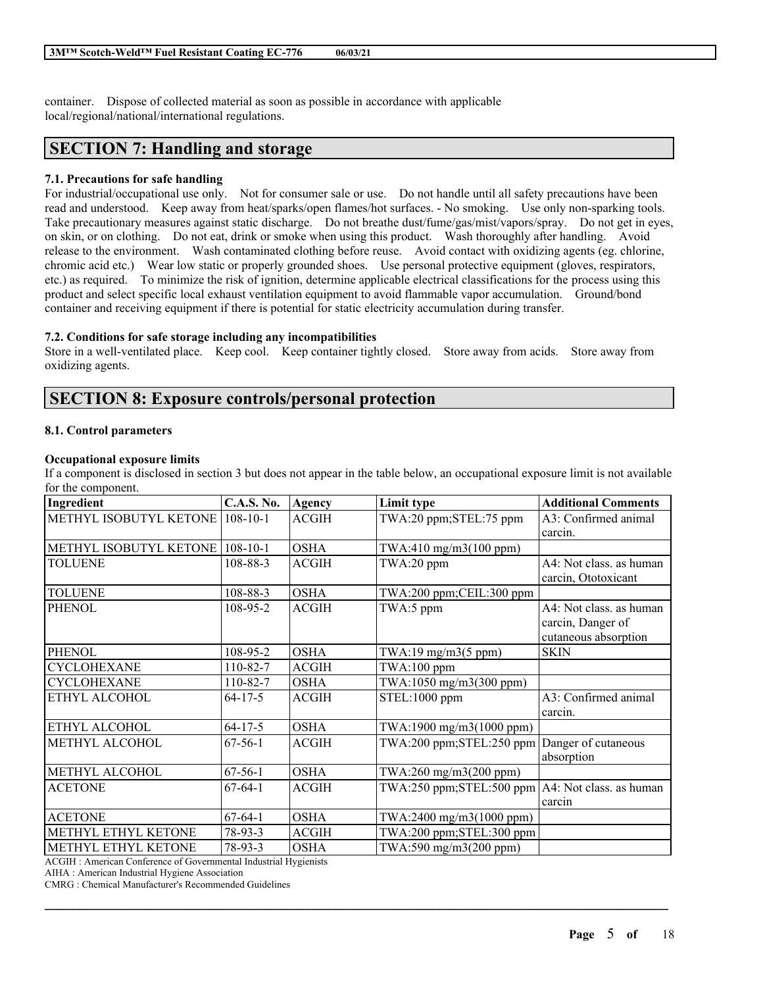container. Dispose of collected material as soon as possible in accordance with applicable local/regional/national/international regulations.

# **SECTION 7: Handling and storage**

## **7.1. Precautions for safe handling**

For industrial/occupational use only. Not for consumer sale or use. Do not handle until all safety precautions have been read and understood. Keep away from heat/sparks/open flames/hot surfaces. - No smoking. Use only non-sparking tools. Take precautionary measures against static discharge. Do not breathe dust/fume/gas/mist/vapors/spray. Do not get in eyes, on skin, or on clothing. Do not eat, drink or smoke when using this product. Wash thoroughly after handling. Avoid release to the environment. Wash contaminated clothing before reuse. Avoid contact with oxidizing agents (eg. chlorine, chromic acid etc.) Wear low static or properly grounded shoes. Use personal protective equipment (gloves, respirators, etc.) as required. To minimize the risk of ignition, determine applicable electrical classifications for the process using this product and select specific local exhaust ventilation equipment to avoid flammable vapor accumulation. Ground/bond container and receiving equipment if there is potential for static electricity accumulation during transfer.

## **7.2. Conditions for safe storage including any incompatibilities**

Store in a well-ventilated place. Keep cool. Keep container tightly closed. Store away from acids. Store away from oxidizing agents.

# **SECTION 8: Exposure controls/personal protection**

## **8.1. Control parameters**

## **Occupational exposure limits**

If a component is disclosed in section 3 but does not appear in the table below, an occupational exposure limit is not available for the component.

| Ingredient             | <b>C.A.S. No.</b> | Agency       | Limit type                                              | <b>Additional Comments</b> |
|------------------------|-------------------|--------------|---------------------------------------------------------|----------------------------|
| METHYL ISOBUTYL KETONE | $108 - 10 - 1$    | <b>ACGIH</b> | TWA:20 ppm;STEL:75 ppm                                  | A3: Confirmed animal       |
|                        |                   |              |                                                         | carcin.                    |
| METHYL ISOBUTYL KETONE | $108 - 10 - 1$    | <b>OSHA</b>  | TWA:410 mg/m3(100 ppm)                                  |                            |
| <b>TOLUENE</b>         | $108 - 88 - 3$    | <b>ACGIH</b> | TWA:20 ppm                                              | A4: Not class. as human    |
|                        |                   |              |                                                         | carcin, Ototoxicant        |
| <b>TOLUENE</b>         | 108-88-3          | <b>OSHA</b>  | TWA:200 ppm;CEIL:300 ppm                                |                            |
| <b>PHENOL</b>          | 108-95-2          | <b>ACGIH</b> | TWA:5 ppm                                               | A4: Not class. as human    |
|                        |                   |              |                                                         | carcin, Danger of          |
|                        |                   |              |                                                         | cutaneous absorption       |
| PHENOL                 | 108-95-2          | <b>OSHA</b>  | $TWA:19$ mg/m $3(5$ ppm)                                | <b>SKIN</b>                |
| <b>CYCLOHEXANE</b>     | 110-82-7          | <b>ACGIH</b> | $TWA:100$ ppm                                           |                            |
| <b>CYCLOHEXANE</b>     | 110-82-7          | <b>OSHA</b>  | TWA:1050 mg/m3(300 ppm)                                 |                            |
| ETHYL ALCOHOL          | $64 - 17 - 5$     | <b>ACGIH</b> | STEL:1000 ppm                                           | A3: Confirmed animal       |
|                        |                   |              |                                                         | carcin.                    |
| ETHYL ALCOHOL          | $64 - 17 - 5$     | <b>OSHA</b>  | TWA:1900 mg/m3(1000 ppm)                                |                            |
| <b>METHYL ALCOHOL</b>  | $67-56-1$         | <b>ACGIH</b> | TWA:200 ppm;STEL:250 ppm                                | Danger of cutaneous        |
|                        |                   |              |                                                         | absorption                 |
| METHYL ALCOHOL         | $67-56-1$         | <b>OSHA</b>  | TWA:260 mg/m3(200 ppm)                                  |                            |
| <b>ACETONE</b>         | $67-64-1$         | <b>ACGIH</b> | $TWA:250$ ppm; $STEL:500$ ppm $AA:$ Not class. as human |                            |
|                        |                   |              |                                                         | carcin                     |
| <b>ACETONE</b>         | $67-64-1$         | <b>OSHA</b>  | TWA:2400 mg/m3(1000 ppm)                                |                            |
| METHYL ETHYL KETONE    | $78-93-3$         | <b>ACGIH</b> | TWA:200 ppm;STEL:300 ppm                                |                            |
| METHYL ETHYL KETONE    | $78 - 93 - 3$     | <b>OSHA</b>  | TWA:590 mg/m3(200 ppm)                                  |                            |

 $\mathcal{L}_\mathcal{L} = \mathcal{L}_\mathcal{L} = \mathcal{L}_\mathcal{L} = \mathcal{L}_\mathcal{L} = \mathcal{L}_\mathcal{L} = \mathcal{L}_\mathcal{L} = \mathcal{L}_\mathcal{L} = \mathcal{L}_\mathcal{L} = \mathcal{L}_\mathcal{L} = \mathcal{L}_\mathcal{L} = \mathcal{L}_\mathcal{L} = \mathcal{L}_\mathcal{L} = \mathcal{L}_\mathcal{L} = \mathcal{L}_\mathcal{L} = \mathcal{L}_\mathcal{L} = \mathcal{L}_\mathcal{L} = \mathcal{L}_\mathcal{L}$ 

ACGIH : American Conference of Governmental Industrial Hygienists

AIHA : American Industrial Hygiene Association

CMRG : Chemical Manufacturer's Recommended Guidelines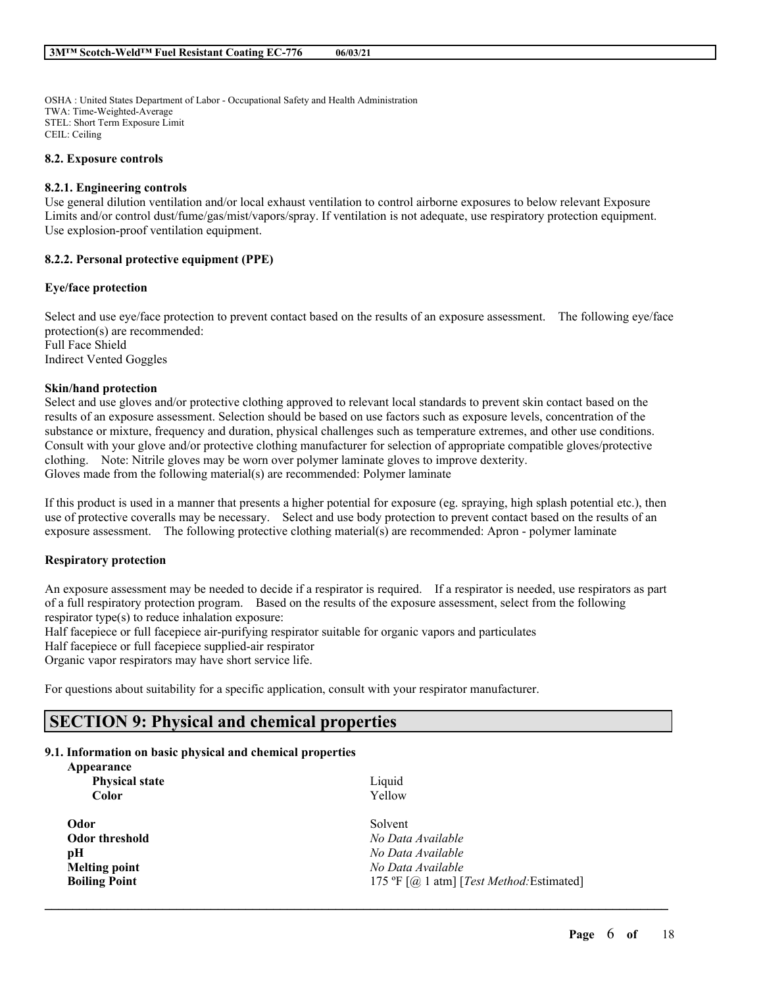OSHA : United States Department of Labor - Occupational Safety and Health Administration TWA: Time-Weighted-Average STEL: Short Term Exposure Limit CEIL: Ceiling

#### **8.2. Exposure controls**

#### **8.2.1. Engineering controls**

Use general dilution ventilation and/or local exhaust ventilation to control airborne exposures to below relevant Exposure Limits and/or control dust/fume/gas/mist/vapors/spray. If ventilation is not adequate, use respiratory protection equipment. Use explosion-proof ventilation equipment.

#### **8.2.2. Personal protective equipment (PPE)**

#### **Eye/face protection**

Select and use eye/face protection to prevent contact based on the results of an exposure assessment. The following eye/face protection(s) are recommended: Full Face Shield Indirect Vented Goggles

#### **Skin/hand protection**

Select and use gloves and/or protective clothing approved to relevant local standards to prevent skin contact based on the results of an exposure assessment. Selection should be based on use factors such as exposure levels, concentration of the substance or mixture, frequency and duration, physical challenges such as temperature extremes, and other use conditions. Consult with your glove and/or protective clothing manufacturer for selection of appropriate compatible gloves/protective clothing. Note: Nitrile gloves may be worn over polymer laminate gloves to improve dexterity. Gloves made from the following material(s) are recommended: Polymer laminate

If this product is used in a manner that presents a higher potential for exposure (eg. spraying, high splash potential etc.), then use of protective coveralls may be necessary. Select and use body protection to prevent contact based on the results of an exposure assessment. The following protective clothing material(s) are recommended: Apron - polymer laminate

#### **Respiratory protection**

An exposure assessment may be needed to decide if a respirator is required. If a respirator is needed, use respirators as part of a full respiratory protection program. Based on the results of the exposure assessment, select from the following respirator type(s) to reduce inhalation exposure:

Half facepiece or full facepiece air-purifying respirator suitable for organic vapors and particulates

Half facepiece or full facepiece supplied-air respirator

Organic vapor respirators may have short service life.

For questions about suitability for a specific application, consult with your respirator manufacturer.

## **SECTION 9: Physical and chemical properties**

#### **9.1. Information on basic physical and chemical properties**

| Appearance<br><b>Physical state</b><br><b>Color</b> | Liquid<br>Yellow                                      |
|-----------------------------------------------------|-------------------------------------------------------|
| Odor                                                | Solvent                                               |
| Odor threshold                                      | No Data Available                                     |
| рH                                                  | No Data Available                                     |
| <b>Melting point</b>                                | No Data Available                                     |
| <b>Boiling Point</b>                                | 175 °F [ $@$ 1 atm] [ <i>Test Method</i> : Estimated] |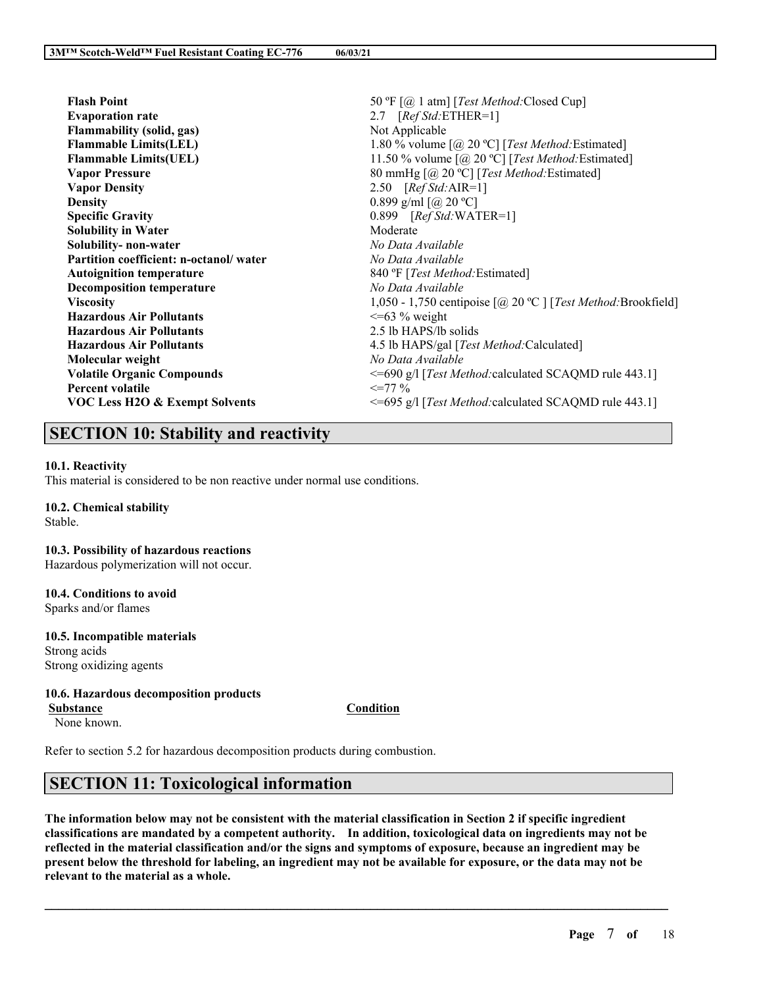| <b>Flash Point</b>                        | 50 °F [@ 1 atm] [Test Method: Closed Cup]                                                |
|-------------------------------------------|------------------------------------------------------------------------------------------|
| <b>Evaporation rate</b>                   | 2.7 [Ref Std: ETHER=1]                                                                   |
| <b>Flammability (solid, gas)</b>          | Not Applicable                                                                           |
| <b>Flammable Limits(LEL)</b>              | 1.80 % volume $\lceil (\partial, 20 \text{ °C}) \rceil$ [ <i>Test Method:</i> Estimated] |
| <b>Flammable Limits(UEL)</b>              | 11.50 % volume $[@, 20 °C]$ [ <i>Test Method</i> : Estimated]                            |
| <b>Vapor Pressure</b>                     | 80 mmHg [@ 20 °C] [Test Method: Estimated]                                               |
| <b>Vapor Density</b>                      | 2.50 $[RefStd:AIR=1]$                                                                    |
| <b>Density</b>                            | 0.899 g/ml $\left[$ ( <i>a</i> ) 20 °C]                                                  |
| <b>Specific Gravity</b>                   | $0.899$ [Ref Std:WATER=1]                                                                |
| <b>Solubility in Water</b>                | Moderate                                                                                 |
| Solubility-non-water                      | No Data Available                                                                        |
| Partition coefficient: n-octanol/water    | No Data Available                                                                        |
| <b>Autoignition temperature</b>           | 840 °F [Test Method: Estimated]                                                          |
| <b>Decomposition temperature</b>          | No Data Available                                                                        |
| <b>Viscosity</b>                          | 1,050 - 1,750 centipoise $[@, 20 \degree C]$ [ <i>Test Method:</i> Brookfield]           |
| <b>Hazardous Air Pollutants</b>           | $\leq$ =63 % weight                                                                      |
| <b>Hazardous Air Pollutants</b>           | 2.5 lb HAPS/lb solids                                                                    |
| <b>Hazardous Air Pollutants</b>           | 4.5 lb HAPS/gal [ <i>Test Method</i> :Calculated]                                        |
| Molecular weight                          | No Data Available                                                                        |
| <b>Volatile Organic Compounds</b>         | <=690 g/l [Test Method: calculated SCAQMD rule 443.1]                                    |
| <b>Percent volatile</b>                   | $\leq$ 77 %                                                                              |
| <b>VOC Less H2O &amp; Exempt Solvents</b> | <=695 g/l [Test Method: calculated SCAQMD rule 443.1]                                    |
|                                           |                                                                                          |

# **SECTION 10: Stability and reactivity**

## **10.1. Reactivity**

This material is considered to be non reactive under normal use conditions.

## **10.2. Chemical stability**

Stable.

### **10.3. Possibility of hazardous reactions**

Hazardous polymerization will not occur.

**10.4. Conditions to avoid** Sparks and/or flames

## **10.5. Incompatible materials**

Strong acids Strong oxidizing agents

## **10.6. Hazardous decomposition products**

**Substance Condition** None known.

Refer to section 5.2 for hazardous decomposition products during combustion.

# **SECTION 11: Toxicological information**

The information below may not be consistent with the material classification in Section 2 if specific ingredient **classifications are mandated by a competent authority. In addition, toxicological data on ingredients may not be** reflected in the material classification and/or the signs and symptoms of exposure, because an ingredient may be present below the threshold for labeling, an ingredient may not be available for exposure, or the data may not be **relevant to the material as a whole.**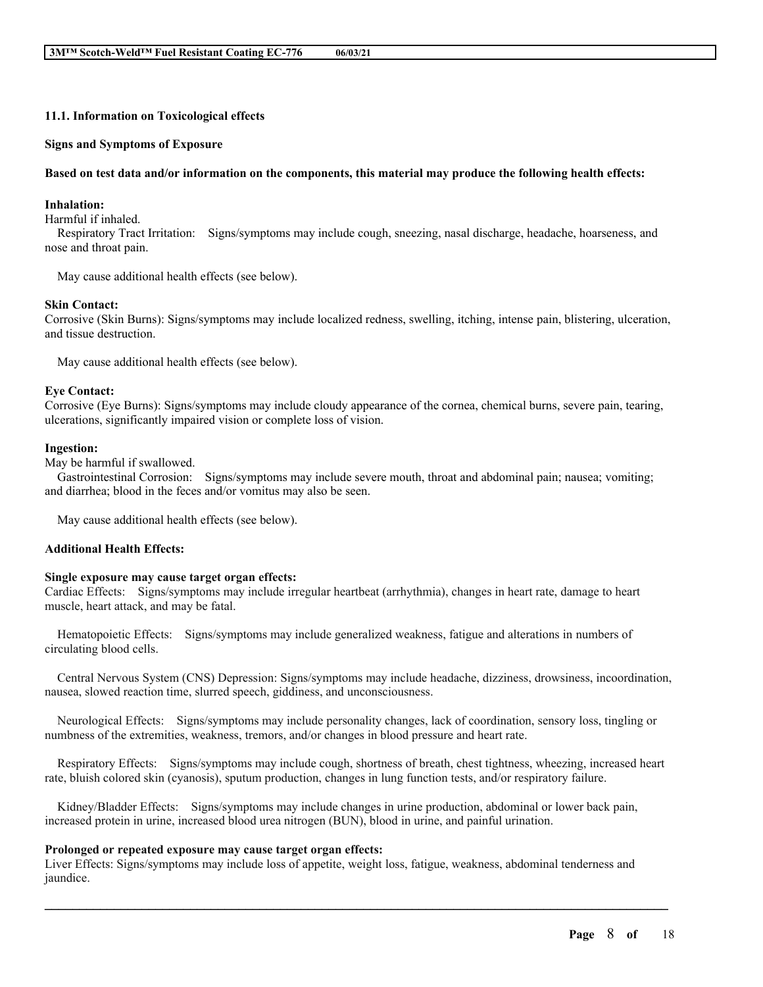### **11.1. Information on Toxicological effects**

#### **Signs and Symptoms of Exposure**

#### Based on test data and/or information on the components, this material may produce the following health effects:

### **Inhalation:**

Harmful if inhaled.

Respiratory Tract Irritation: Signs/symptoms may include cough, sneezing, nasal discharge, headache, hoarseness, and nose and throat pain.

May cause additional health effects (see below).

#### **Skin Contact:**

Corrosive (Skin Burns): Signs/symptoms may include localized redness, swelling, itching, intense pain, blistering, ulceration, and tissue destruction.

May cause additional health effects (see below).

#### **Eye Contact:**

Corrosive (Eye Burns): Signs/symptoms may include cloudy appearance of the cornea, chemical burns, severe pain, tearing, ulcerations, significantly impaired vision or complete loss of vision.

#### **Ingestion:**

May be harmful if swallowed.

Gastrointestinal Corrosion: Signs/symptoms may include severe mouth, throat and abdominal pain; nausea; vomiting; and diarrhea; blood in the feces and/or vomitus may also be seen.

May cause additional health effects (see below).

#### **Additional Health Effects:**

#### **Single exposure may cause target organ effects:**

Cardiac Effects: Signs/symptoms may include irregular heartbeat (arrhythmia), changes in heart rate, damage to heart muscle, heart attack, and may be fatal.

Hematopoietic Effects: Signs/symptoms may include generalized weakness, fatigue and alterations in numbers of circulating blood cells.

Central Nervous System (CNS) Depression: Signs/symptoms may include headache, dizziness, drowsiness, incoordination, nausea, slowed reaction time, slurred speech, giddiness, and unconsciousness.

Neurological Effects: Signs/symptoms may include personality changes, lack of coordination, sensory loss, tingling or numbness of the extremities, weakness, tremors, and/or changes in blood pressure and heart rate.

Respiratory Effects: Signs/symptoms may include cough, shortness of breath, chest tightness, wheezing, increased heart rate, bluish colored skin (cyanosis), sputum production, changes in lung function tests, and/or respiratory failure.

Kidney/Bladder Effects: Signs/symptoms may include changes in urine production, abdominal or lower back pain, increased protein in urine, increased blood urea nitrogen (BUN), blood in urine, and painful urination.

#### **Prolonged or repeated exposure may cause target organ effects:**

Liver Effects: Signs/symptoms may include loss of appetite, weight loss, fatigue, weakness, abdominal tenderness and jaundice.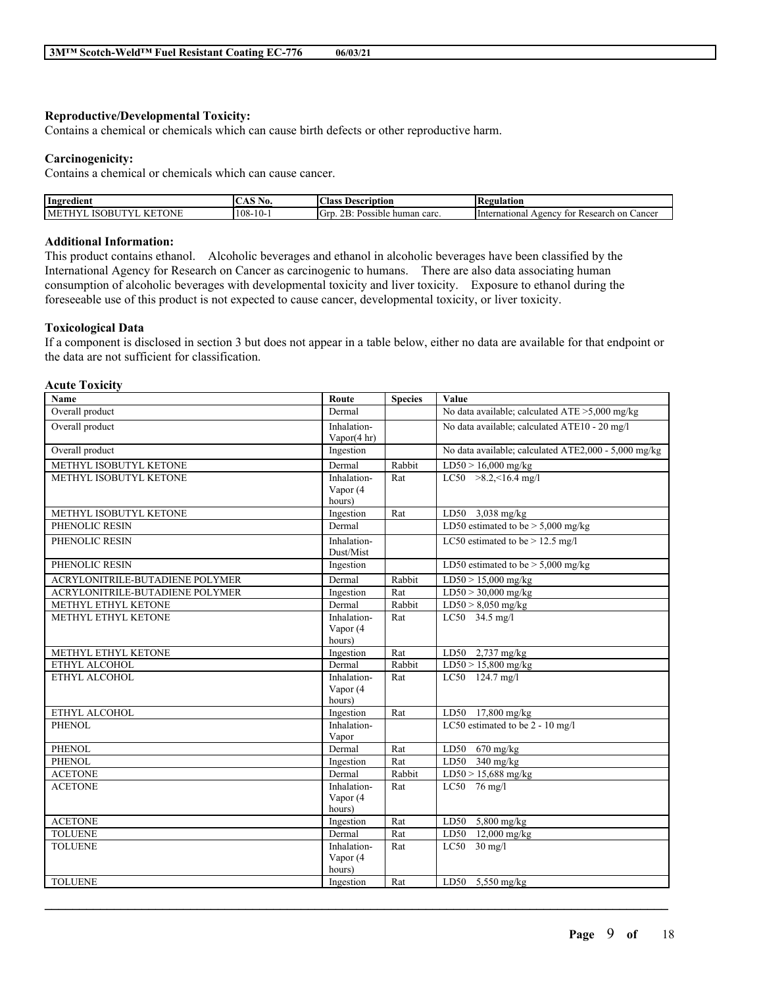### **Reproductive/Developmental Toxicity:**

Contains a chemical or chemicals which can cause birth defects or other reproductive harm.

### **Carcinogenicity:**

Contains a chemical or chemicals which can cause cancer.

| Ingredient | . VU.                            | scription<br>Aas                                                | 'egulation                                                      |
|------------|----------------------------------|-----------------------------------------------------------------|-----------------------------------------------------------------|
| ONE<br>n   | ، ۱<br>. Uō-<br><br>$\sim$ $V^-$ | $\sim$<br>$\sqrt{2}$<br>~~<br>Gre<br>Possible.<br>: human carc. | International<br>Research<br>Cancer<br>on<br>$Agen$ $CY$<br>tor |

## **Additional Information:**

This product contains ethanol. Alcoholic beverages and ethanol in alcoholic beverages have been classified by the International Agency for Research on Cancer as carcinogenic to humans. There are also data associating human consumption of alcoholic beverages with developmental toxicity and liver toxicity. Exposure to ethanol during the foreseeable use of this product is not expected to cause cancer, developmental toxicity, or liver toxicity.

#### **Toxicological Data**

If a component is disclosed in section 3 but does not appear in a table below, either no data are available for that endpoint or the data are not sufficient for classification.

#### **Acute Toxicity**

| Name                            | Route               | <b>Species</b> | Value                                                 |
|---------------------------------|---------------------|----------------|-------------------------------------------------------|
| Overall product                 | Dermal              |                | No data available; calculated ATE >5,000 mg/kg        |
| Overall product                 | Inhalation-         |                | No data available; calculated ATE10 - 20 mg/l         |
|                                 | Vapor $(4 hr)$      |                |                                                       |
| Overall product                 | Ingestion           |                | No data available; calculated ATE2,000 - 5,000 mg/kg  |
| METHYL ISOBUTYL KETONE          | Dermal              | Rabbit         | LD50 > 16,000 mg/kg                                   |
| METHYL ISOBUTYL KETONE          | Inhalation-         | Rat            | LC50 $>8.2, 16.4$ mg/l                                |
|                                 | Vapor (4            |                |                                                       |
|                                 | hours)              |                |                                                       |
| METHYL ISOBUTYL KETONE          | Ingestion           | Rat            | LD50 $3,038$ mg/kg                                    |
| PHENOLIC RESIN                  | Dermal              |                | LD50 estimated to be $> 5,000$ mg/kg                  |
| PHENOLIC RESIN                  | Inhalation-         |                | LC50 estimated to be $> 12.5$ mg/l                    |
|                                 | Dust/Mist           |                |                                                       |
| PHENOLIC RESIN                  | Ingestion           |                | LD50 estimated to be $> 5,000$ mg/kg                  |
| ACRYLONITRILE-BUTADIENE POLYMER | Dermal              | Rabbit         | $LD50 > 15,000$ mg/kg                                 |
| ACRYLONITRILE-BUTADIENE POLYMER | Ingestion           | Rat            | $LD50 > 30,000$ mg/kg                                 |
| METHYL ETHYL KETONE             | Dermal              | Rabbit         | $LD50 > 8,050$ mg/kg                                  |
| METHYL ETHYL KETONE             | Inhalation-         | Rat            | LC50 34.5 mg/l                                        |
|                                 | Vapor (4            |                |                                                       |
|                                 | hours)              |                |                                                       |
| METHYL ETHYL KETONE             | Ingestion           | Rat            | LD50 $2,737$ mg/kg                                    |
| ETHYL ALCOHOL                   | Dermal              | Rabbit         | $LD50 > 15,800$ mg/kg                                 |
| ETHYL ALCOHOL                   | Inhalation-         | Rat            | LC50 124.7 mg/l                                       |
|                                 | Vapor (4            |                |                                                       |
| ETHYL ALCOHOL                   | hours)<br>Ingestion | Rat            |                                                       |
| <b>PHENOL</b>                   | Inhalation-         |                | LD50 17,800 mg/kg<br>LC50 estimated to be 2 - 10 mg/l |
|                                 | Vapor               |                |                                                       |
| <b>PHENOL</b>                   | Dermal              | Rat            | LD50<br>$670$ mg/kg                                   |
| <b>PHENOL</b>                   | Ingestion           | Rat            | LD50 $340$ mg/kg                                      |
| <b>ACETONE</b>                  | Dermal              | Rabbit         | $LD50 > 15,688$ mg/kg                                 |
| <b>ACETONE</b>                  | Inhalation-         | Rat            | LC50 $76$ mg/l                                        |
|                                 | Vapor (4            |                |                                                       |
|                                 | hours)              |                |                                                       |
| <b>ACETONE</b>                  | Ingestion           | Rat            | LD50 $5,800$ mg/kg                                    |
| <b>TOLUENE</b>                  | Dermal              | Rat            | LD50 12,000 mg/kg                                     |
| <b>TOLUENE</b>                  | Inhalation-         | Rat            | $LC50$ 30 mg/l                                        |
|                                 | Vapor (4            |                |                                                       |
|                                 | hours)              |                |                                                       |
| <b>TOLUENE</b>                  | Ingestion           | Rat            | LD50 5,550 mg/kg                                      |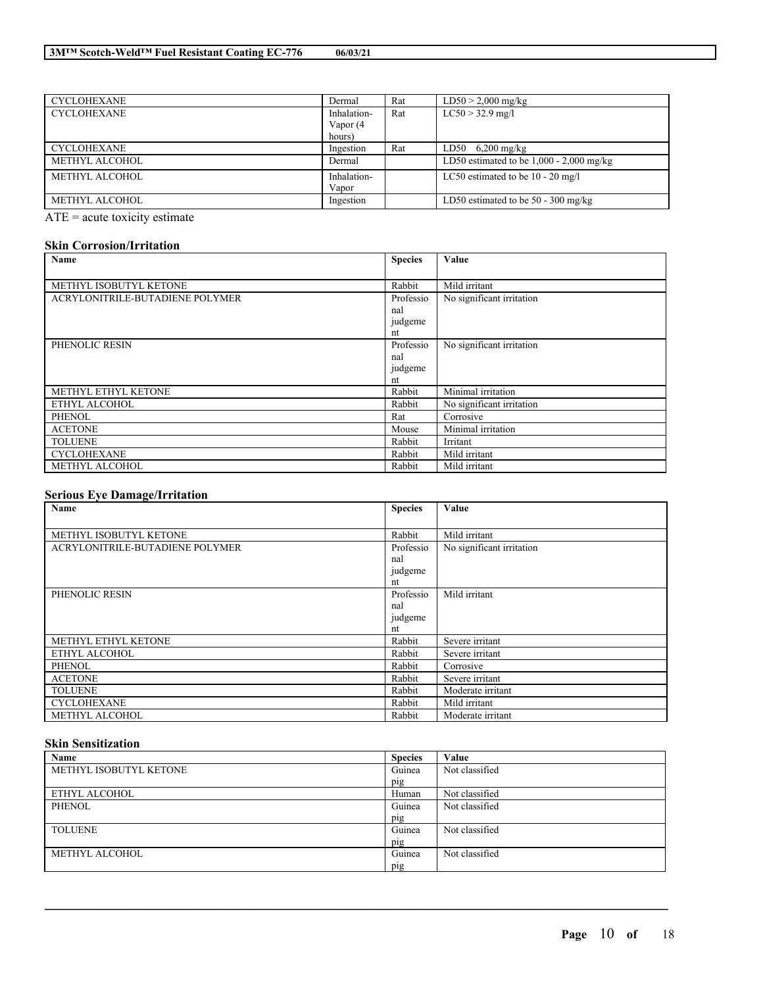| <b>CYCLOHEXANE</b> | Dermal      | Rat | $LD50 > 2,000$ mg/kg                       |
|--------------------|-------------|-----|--------------------------------------------|
| <b>CYCLOHEXANE</b> | Inhalation- | Rat | $LC50 > 32.9$ mg/l                         |
|                    | Vapor (4    |     |                                            |
|                    | hours)      |     |                                            |
| <b>CYCLOHEXANE</b> | Ingestion   | Rat | $LD50 \quad 6,200 \; mg/kg$                |
| METHYL ALCOHOL     | Dermal      |     | LD50 estimated to be $1,000 - 2,000$ mg/kg |
| METHYL ALCOHOL     | Inhalation- |     | LC50 estimated to be $10 - 20$ mg/l        |
|                    | Vapor       |     |                                            |
| METHYL ALCOHOL     | Ingestion   |     | LD50 estimated to be $50 - 300$ mg/kg      |

ATE = acute toxicity estimate

## **Skin Corrosion/Irritation**

| Name                            | <b>Species</b> | Value                     |
|---------------------------------|----------------|---------------------------|
|                                 |                |                           |
| METHYL ISOBUTYL KETONE          | Rabbit         | Mild irritant             |
| ACRYLONITRILE-BUTADIENE POLYMER | Professio      | No significant irritation |
|                                 | nal            |                           |
|                                 | judgeme        |                           |
|                                 | nt             |                           |
| PHENOLIC RESIN                  | Professio      | No significant irritation |
|                                 | nal            |                           |
|                                 | judgeme        |                           |
|                                 | nt             |                           |
| METHYL ETHYL KETONE             | Rabbit         | Minimal irritation        |
| ETHYL ALCOHOL                   | Rabbit         | No significant irritation |
| <b>PHENOL</b>                   | Rat            | Corrosive                 |
| <b>ACETONE</b>                  | Mouse          | Minimal irritation        |
| <b>TOLUENE</b>                  | Rabbit         | Irritant                  |
| <b>CYCLOHEXANE</b>              | Rabbit         | Mild irritant             |
| METHYL ALCOHOL                  | Rabbit         | Mild irritant             |

## **Serious Eye Damage/Irritation**

| Name                            | <b>Species</b> | Value                     |
|---------------------------------|----------------|---------------------------|
|                                 |                |                           |
| METHYL ISOBUTYL KETONE          | Rabbit         | Mild irritant             |
| ACRYLONITRILE-BUTADIENE POLYMER | Professio      | No significant irritation |
|                                 | nal            |                           |
|                                 | judgeme        |                           |
|                                 | nt             |                           |
| PHENOLIC RESIN                  | Professio      | Mild irritant             |
|                                 | nal            |                           |
|                                 | judgeme        |                           |
|                                 | nt             |                           |
| METHYL ETHYL KETONE             | Rabbit         | Severe irritant           |
| ETHYL ALCOHOL                   | Rabbit         | Severe irritant           |
| <b>PHENOL</b>                   | Rabbit         | Corrosive                 |
| <b>ACETONE</b>                  | Rabbit         | Severe irritant           |
| <b>TOLUENE</b>                  | Rabbit         | Moderate irritant         |
| <b>CYCLOHEXANE</b>              | Rabbit         | Mild irritant             |
| METHYL ALCOHOL                  | Rabbit         | Moderate irritant         |

## **Skin Sensitization**

| Name                   | <b>Species</b> | Value          |
|------------------------|----------------|----------------|
| METHYL ISOBUTYL KETONE | Guinea         | Not classified |
|                        | pig            |                |
| ETHYL ALCOHOL          | Human          | Not classified |
| <b>PHENOL</b>          | Guinea         | Not classified |
|                        | pig            |                |
| <b>TOLUENE</b>         | Guinea         | Not classified |
|                        | pig            |                |
| METHYL ALCOHOL         | Guinea         | Not classified |
|                        | pig            |                |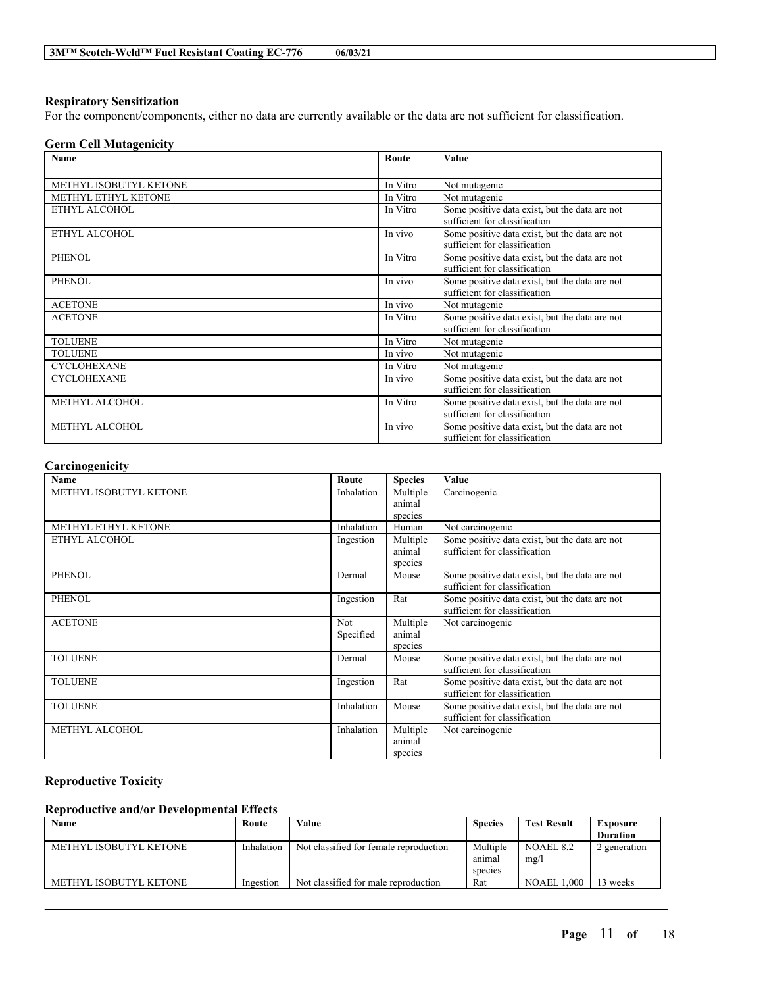### **Respiratory Sensitization**

For the component/components, either no data are currently available or the data are not sufficient for classification.

## **Germ Cell Mutagenicity**

| Name                       | Route    | Value                                                                           |
|----------------------------|----------|---------------------------------------------------------------------------------|
| METHYL ISOBUTYL KETONE     | In Vitro | Not mutagenic                                                                   |
| <b>METHYL ETHYL KETONE</b> | In Vitro | Not mutagenic                                                                   |
| ETHYL ALCOHOL              | In Vitro | Some positive data exist, but the data are not<br>sufficient for classification |
| ETHYL ALCOHOL              | In vivo  | Some positive data exist, but the data are not<br>sufficient for classification |
| <b>PHENOL</b>              | In Vitro | Some positive data exist, but the data are not<br>sufficient for classification |
| <b>PHENOL</b>              | In vivo  | Some positive data exist, but the data are not<br>sufficient for classification |
| <b>ACETONE</b>             | In vivo  | Not mutagenic                                                                   |
| <b>ACETONE</b>             | In Vitro | Some positive data exist, but the data are not<br>sufficient for classification |
| <b>TOLUENE</b>             | In Vitro | Not mutagenic                                                                   |
| <b>TOLUENE</b>             | In vivo  | Not mutagenic                                                                   |
| <b>CYCLOHEXANE</b>         | In Vitro | Not mutagenic                                                                   |
| <b>CYCLOHEXANE</b>         | In vivo  | Some positive data exist, but the data are not<br>sufficient for classification |
| METHYL ALCOHOL             | In Vitro | Some positive data exist, but the data are not<br>sufficient for classification |
| METHYL ALCOHOL             | In vivo  | Some positive data exist, but the data are not<br>sufficient for classification |

## **Carcinogenicity**

| Name                   | Route      | <b>Species</b> | Value                                          |
|------------------------|------------|----------------|------------------------------------------------|
| METHYL ISOBUTYL KETONE | Inhalation | Multiple       | Carcinogenic                                   |
|                        |            | animal         |                                                |
|                        |            | species        |                                                |
| METHYL ETHYL KETONE    | Inhalation | Human          | Not carcinogenic                               |
| ETHYL ALCOHOL          | Ingestion  | Multiple       | Some positive data exist, but the data are not |
|                        |            | animal         | sufficient for classification                  |
|                        |            | species        |                                                |
| <b>PHENOL</b>          | Dermal     | Mouse          | Some positive data exist, but the data are not |
|                        |            |                | sufficient for classification                  |
| <b>PHENOL</b>          | Ingestion  | Rat            | Some positive data exist, but the data are not |
|                        |            |                | sufficient for classification                  |
| <b>ACETONE</b>         | <b>Not</b> | Multiple       | Not carcinogenic                               |
|                        | Specified  | animal         |                                                |
|                        |            | species        |                                                |
| <b>TOLUENE</b>         | Dermal     | Mouse          | Some positive data exist, but the data are not |
|                        |            |                | sufficient for classification                  |
| <b>TOLUENE</b>         | Ingestion  | Rat            | Some positive data exist, but the data are not |
|                        |            |                | sufficient for classification                  |
| <b>TOLUENE</b>         | Inhalation | Mouse          | Some positive data exist, but the data are not |
|                        |            |                | sufficient for classification                  |
| <b>METHYL ALCOHOL</b>  | Inhalation | Multiple       | Not carcinogenic                               |
|                        |            | animal         |                                                |
|                        |            | species        |                                                |

## **Reproductive Toxicity**

## **Reproductive and/or Developmental Effects**

| Name                   | Route      | Value                                  | <b>Species</b> | <b>Test Result</b> | Exposure        |
|------------------------|------------|----------------------------------------|----------------|--------------------|-----------------|
|                        |            |                                        |                |                    | <b>Duration</b> |
| METHYL ISOBUTYL KETONE | Inhalation | Not classified for female reproduction | Multiple       | NOAEL 8.2          | 2 generation    |
|                        |            |                                        | anımal         | mg/l               |                 |
|                        |            |                                        | species        |                    |                 |
| METHYL ISOBUTYL KETONE | Ingestion  | Not classified for male reproduction   | Rat            | <b>NOAEL 1.000</b> | 3 weeks         |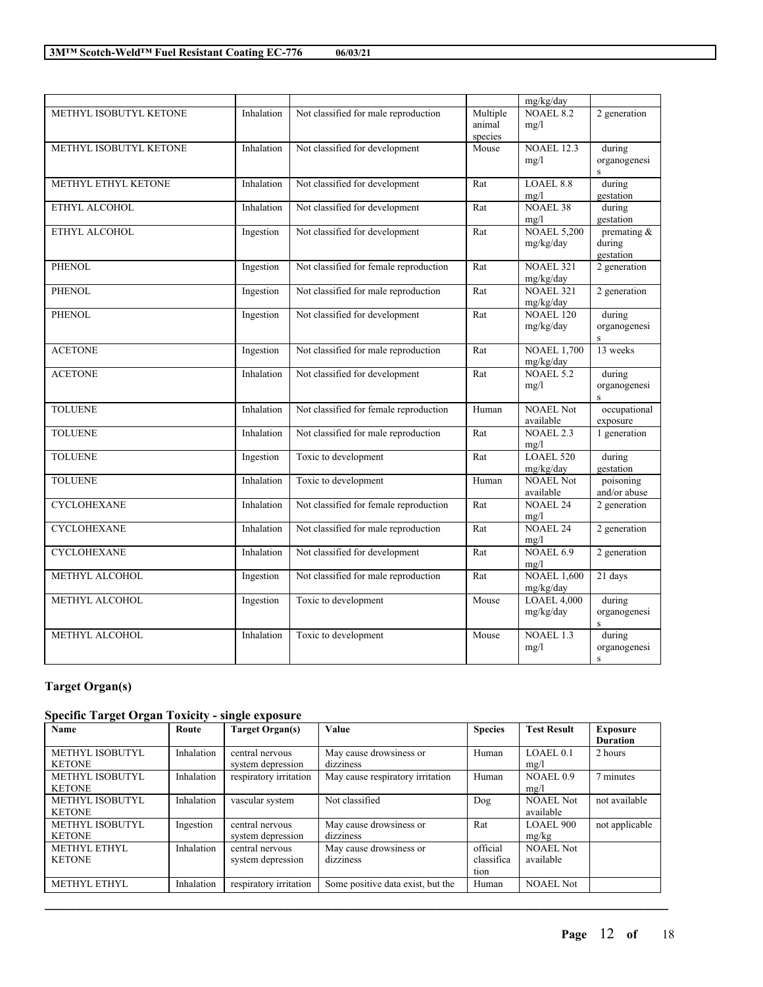| )6/03/21 |  |
|----------|--|
|          |  |

|                        |            |                                        |                               | mg/kg/day                       |                                        |
|------------------------|------------|----------------------------------------|-------------------------------|---------------------------------|----------------------------------------|
| METHYL ISOBUTYL KETONE | Inhalation | Not classified for male reproduction   | Multiple<br>animal<br>species | <b>NOAEL 8.2</b><br>mg/l        | 2 generation                           |
| METHYL ISOBUTYL KETONE | Inhalation | Not classified for development         | Mouse                         | <b>NOAEL 12.3</b><br>mg/l       | during<br>organogenesi<br>S            |
| METHYL ETHYL KETONE    | Inhalation | Not classified for development         | Rat                           | <b>LOAEL 8.8</b><br>mg/l        | during<br>gestation                    |
| ETHYL ALCOHOL          | Inhalation | Not classified for development         | Rat                           | <b>NOAEL 38</b><br>mg/l         | during<br>gestation                    |
| ETHYL ALCOHOL          | Ingestion  | Not classified for development         | Rat                           | <b>NOAEL 5,200</b><br>mg/kg/day | premating &<br>during<br>gestation     |
| <b>PHENOL</b>          | Ingestion  | Not classified for female reproduction | Rat                           | <b>NOAEL 321</b><br>mg/kg/day   | 2 generation                           |
| PHENOL                 | Ingestion  | Not classified for male reproduction   | Rat                           | <b>NOAEL 321</b><br>mg/kg/day   | 2 generation                           |
| <b>PHENOL</b>          | Ingestion  | Not classified for development         | Rat                           | <b>NOAEL 120</b><br>mg/kg/day   | during<br>organogenesi<br>$\mathbf{s}$ |
| <b>ACETONE</b>         | Ingestion  | Not classified for male reproduction   | Rat                           | <b>NOAEL 1,700</b><br>mg/kg/day | 13 weeks                               |
| <b>ACETONE</b>         | Inhalation | Not classified for development         | Rat                           | NOAEL 5.2<br>mg/l               | during<br>organogenesi<br>$\mathbf{s}$ |
| <b>TOLUENE</b>         | Inhalation | Not classified for female reproduction | Human                         | <b>NOAEL Not</b><br>available   | occupational<br>exposure               |
| <b>TOLUENE</b>         | Inhalation | Not classified for male reproduction   | Rat                           | <b>NOAEL 2.3</b><br>mg/l        | 1 generation                           |
| <b>TOLUENE</b>         | Ingestion  | Toxic to development                   | Rat                           | LOAEL 520<br>mg/kg/day          | during<br>gestation                    |
| <b>TOLUENE</b>         | Inhalation | Toxic to development                   | Human                         | <b>NOAEL Not</b><br>available   | poisoning<br>and/or abuse              |
| <b>CYCLOHEXANE</b>     | Inhalation | Not classified for female reproduction | Rat                           | <b>NOAEL 24</b><br>mg/l         | 2 generation                           |
| <b>CYCLOHEXANE</b>     | Inhalation | Not classified for male reproduction   | Rat                           | <b>NOAEL 24</b><br>mg/l         | 2 generation                           |
| <b>CYCLOHEXANE</b>     | Inhalation | Not classified for development         | $\overline{R}at$              | NOAEL 6.9<br>mg/l               | 2 generation                           |
| METHYL ALCOHOL         | Ingestion  | Not classified for male reproduction   | Rat                           | <b>NOAEL 1,600</b><br>mg/kg/day | $21$ days                              |
| METHYL ALCOHOL         | Ingestion  | Toxic to development                   | Mouse                         | <b>LOAEL 4,000</b><br>mg/kg/day | during<br>organogenesi<br>$\rm S$      |
| METHYL ALCOHOL         | Inhalation | Toxic to development                   | Mouse                         | <b>NOAEL 1.3</b><br>mg/l        | during<br>organogenesi<br>$\bf S$      |

## **Target Organ(s)**

## **Specific Target Organ Toxicity - single exposure**

| Name                   | Route      | <b>Target Organ(s)</b> | <b>Value</b>                      | <b>Species</b> | <b>Test Result</b>   | <b>Exposure</b> |
|------------------------|------------|------------------------|-----------------------------------|----------------|----------------------|-----------------|
|                        |            |                        |                                   |                |                      | <b>Duration</b> |
| <b>METHYL ISOBUTYL</b> | Inhalation | central nervous        | May cause drowsiness or           | Human          | LOAEL <sub>0.1</sub> | 2 hours         |
| <b>KETONE</b>          |            | system depression      | dizziness                         |                | mg/l                 |                 |
| <b>METHYL ISOBUTYL</b> | Inhalation | respiratory irritation | May cause respiratory irritation  | Human          | NOAEL <sub>0.9</sub> | 7 minutes       |
| <b>KETONE</b>          |            |                        |                                   |                | mg/l                 |                 |
| <b>METHYL ISOBUTYL</b> | Inhalation | vascular system        | Not classified                    | Dog            | <b>NOAEL Not</b>     | not available   |
| <b>KETONE</b>          |            |                        |                                   |                | available            |                 |
| METHYL ISOBUTYL        | Ingestion  | central nervous        | May cause drowsiness or           | Rat            | LOAEL 900            | not applicable  |
| <b>KETONE</b>          |            | system depression      | dizziness                         |                | mg/kg                |                 |
| <b>METHYL ETHYL</b>    | Inhalation | central nervous        | May cause drowsiness or           | official       | <b>NOAEL Not</b>     |                 |
| <b>KETONE</b>          |            | system depression      | dizziness                         | classifica     | available            |                 |
|                        |            |                        |                                   | tion           |                      |                 |
| METHYL ETHYL           | Inhalation | respiratory irritation | Some positive data exist, but the | Human          | <b>NOAEL Not</b>     |                 |

 $\mathcal{L}_\mathcal{L} = \mathcal{L}_\mathcal{L} = \mathcal{L}_\mathcal{L} = \mathcal{L}_\mathcal{L} = \mathcal{L}_\mathcal{L} = \mathcal{L}_\mathcal{L} = \mathcal{L}_\mathcal{L} = \mathcal{L}_\mathcal{L} = \mathcal{L}_\mathcal{L} = \mathcal{L}_\mathcal{L} = \mathcal{L}_\mathcal{L} = \mathcal{L}_\mathcal{L} = \mathcal{L}_\mathcal{L} = \mathcal{L}_\mathcal{L} = \mathcal{L}_\mathcal{L} = \mathcal{L}_\mathcal{L} = \mathcal{L}_\mathcal{L}$ 

 $\overline{\phantom{0}}$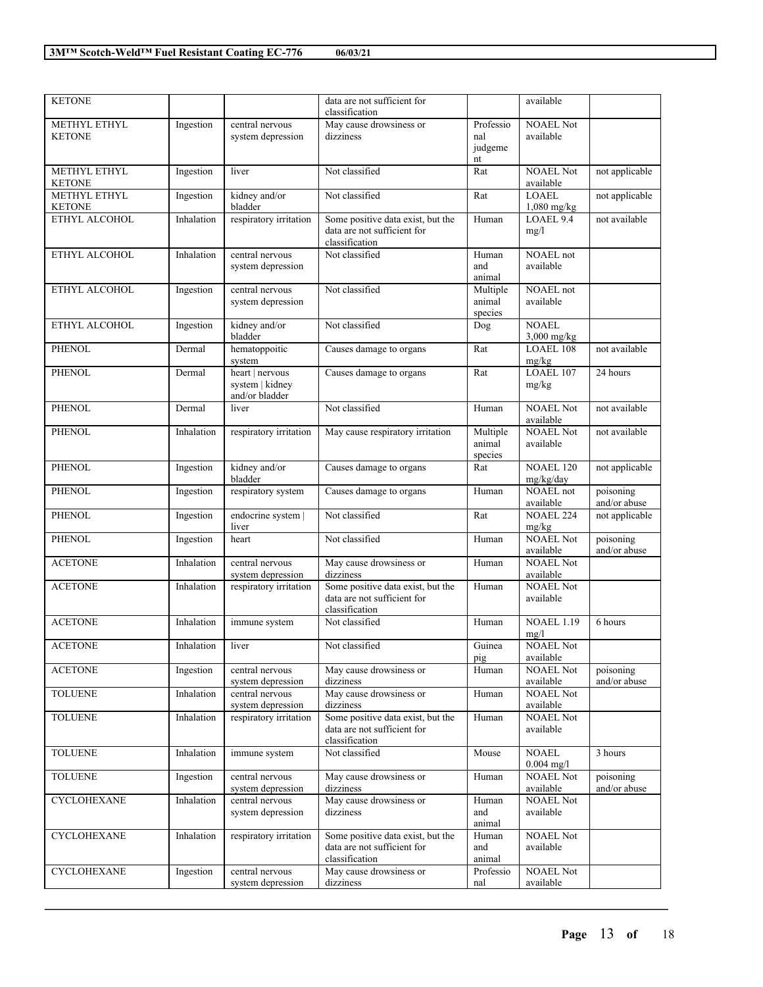| Ingestion<br>May cause drowsiness or<br>Professio<br><b>NOAEL Not</b><br>METHYL ETHYL<br>central nervous<br>system depression<br>dizziness<br>available<br><b>KETONE</b><br>nal<br>judgeme<br>nt<br>METHYL ETHYL<br>Not classified<br>NOAEL Not<br>not applicable<br>Ingestion<br>liver<br>Rat<br>available<br>KETONE<br><b>LOAEL</b><br><b>METHYL ETHYL</b><br>kidney and/or<br>Ingestion<br>Not classified<br>Rat<br>not applicable<br><b>KETONE</b><br>bladder<br>1,080 mg/kg<br>LOAEL 9.4<br>ETHYL ALCOHOL<br>respiratory irritation<br>Some positive data exist, but the<br>not available<br>Inhalation<br>Human<br>data are not sufficient for<br>mg/l<br>classification<br>NOAEL not<br>Inhalation<br>central nervous<br>Not classified<br>ETHYL ALCOHOL<br>Human<br>available<br>system depression<br>and<br>animal<br>central nervous<br>Not classified<br>NOAEL not<br>ETHYL ALCOHOL<br>Ingestion<br>Multiple<br>system depression<br>animal<br>available<br>species<br>kidney and/or<br>Not classified<br>ETHYL ALCOHOL<br>Ingestion<br><b>NOAEL</b><br>Dog<br>bladder<br>$3,000$ mg/kg<br>hematoppoitic<br><b>LOAEL 108</b><br><b>PHENOL</b><br>Causes damage to organs<br>not available<br>Dermal<br>Rat<br>system<br>mg/kg<br>LOAEL 107<br><b>PHENOL</b><br>heart   nervous<br>Causes damage to organs<br>Rat<br>24 hours<br>Dermal<br>system   kidney<br>mg/kg<br>and/or bladder<br><b>PHENOL</b><br>Not classified<br><b>NOAEL Not</b><br>not available<br>Dermal<br>liver<br>Human<br>available<br><b>NOAEL Not</b><br><b>PHENOL</b><br>Inhalation<br>respiratory irritation<br>May cause respiratory irritation<br>Multiple<br>not available<br>animal<br>available<br>species<br>kidney and/or<br><b>PHENOL</b><br>Causes damage to organs<br>NOAEL 120<br>not applicable<br>Ingestion<br>Rat<br>bladder<br>mg/kg/day<br><b>NOAEL</b> not<br><b>PHENOL</b><br>Ingestion<br>respiratory system<br>Causes damage to organs<br>poisoning<br>Human<br>available<br>and/or abuse<br><b>PHENOL</b><br>Not classified<br><b>NOAEL 224</b><br>not applicable<br>endocrine system  <br>Rat<br>Ingestion<br>liver<br>mg/kg<br>Not classified<br><b>NOAEL Not</b><br><b>PHENOL</b><br>Ingestion<br>heart<br>Human<br>poisoning<br>available<br>and/or abuse<br><b>NOAEL Not</b><br>May cause drowsiness or<br><b>ACETONE</b><br>Inhalation<br>central nervous<br>Human<br>system depression<br>dizziness<br>available<br>Some positive data exist, but the<br><b>NOAEL Not</b><br><b>ACETONE</b><br>Inhalation<br>respiratory irritation<br>Human<br>data are not sufficient for<br>available<br>classification<br><b>ACETONE</b><br><b>NOAEL 1.19</b><br>6 hours<br>Inhalation<br>immune system<br>Not classified<br>Human<br>mg/l<br><b>NOAEL Not</b><br>Not classified<br>Guinea<br><b>ACETONE</b><br>Inhalation<br>liver<br>available<br>pig<br>May cause drowsiness or<br><b>NOAEL Not</b><br><b>ACETONE</b><br>Ingestion<br>central nervous<br>Human<br>poisoning<br>available<br>and/or abuse<br>system depression<br>dizziness<br><b>TOLUENE</b><br>Inhalation<br>May cause drowsiness or<br><b>NOAEL Not</b><br>central nervous<br>Human<br>available<br>system depression<br>dizziness<br>Some positive data exist, but the<br><b>TOLUENE</b><br><b>NOAEL Not</b><br>Inhalation<br>respiratory irritation<br>Human<br>data are not sufficient for<br>available<br>classification<br><b>TOLUENE</b><br>Not classified<br><b>NOAEL</b><br>Inhalation<br>immune system<br>Mouse<br>3 hours<br>$0.004$ mg/l<br><b>NOAEL Not</b><br><b>TOLUENE</b><br>central nervous<br>May cause drowsiness or<br>Ingestion<br>Human<br>poisoning<br>system depression<br>available<br>dizziness<br>and/or abuse<br>May cause drowsiness or<br><b>CYCLOHEXANE</b><br>central nervous<br><b>NOAEL Not</b><br>Inhalation<br>Human<br>dizziness<br>available<br>system depression<br>and<br>animal<br>CYCLOHEXANE<br>Some positive data exist, but the<br><b>NOAEL Not</b><br>Inhalation<br>respiratory irritation<br>Human<br>data are not sufficient for<br>and<br>available<br>classification<br>animal<br>central nervous<br>May cause drowsiness or<br><b>CYCLOHEXANE</b><br>Professio<br><b>NOAEL Not</b><br>Ingestion | <b>KETONE</b> |                   | data are not sufficient for |     | available |  |
|--------------------------------------------------------------------------------------------------------------------------------------------------------------------------------------------------------------------------------------------------------------------------------------------------------------------------------------------------------------------------------------------------------------------------------------------------------------------------------------------------------------------------------------------------------------------------------------------------------------------------------------------------------------------------------------------------------------------------------------------------------------------------------------------------------------------------------------------------------------------------------------------------------------------------------------------------------------------------------------------------------------------------------------------------------------------------------------------------------------------------------------------------------------------------------------------------------------------------------------------------------------------------------------------------------------------------------------------------------------------------------------------------------------------------------------------------------------------------------------------------------------------------------------------------------------------------------------------------------------------------------------------------------------------------------------------------------------------------------------------------------------------------------------------------------------------------------------------------------------------------------------------------------------------------------------------------------------------------------------------------------------------------------------------------------------------------------------------------------------------------------------------------------------------------------------------------------------------------------------------------------------------------------------------------------------------------------------------------------------------------------------------------------------------------------------------------------------------------------------------------------------------------------------------------------------------------------------------------------------------------------------------------------------------------------------------------------------------------------------------------------------------------------------------------------------------------------------------------------------------------------------------------------------------------------------------------------------------------------------------------------------------------------------------------------------------------------------------------------------------------------------------------------------------------------------------------------------------------------------------------------------------------------------------------------------------------------------------------------------------------------------------------------------------------------------------------------------------------------------------------------------------------------------------------------------------------------------------------------------------------------------------------------------------------------------------------------------------------------------------------------------------------------------------------------------------------------------------------------------------------------------------------------------------------------------------------------------------------------------------------------------------------------------------------------------------------------------------------------------------------------------------------------------------------------------------------------------------------|---------------|-------------------|-----------------------------|-----|-----------|--|
|                                                                                                                                                                                                                                                                                                                                                                                                                                                                                                                                                                                                                                                                                                                                                                                                                                                                                                                                                                                                                                                                                                                                                                                                                                                                                                                                                                                                                                                                                                                                                                                                                                                                                                                                                                                                                                                                                                                                                                                                                                                                                                                                                                                                                                                                                                                                                                                                                                                                                                                                                                                                                                                                                                                                                                                                                                                                                                                                                                                                                                                                                                                                                                                                                                                                                                                                                                                                                                                                                                                                                                                                                                                                                                                                                                                                                                                                                                                                                                                                                                                                                                                                                                                                                          |               |                   | classification              |     |           |  |
|                                                                                                                                                                                                                                                                                                                                                                                                                                                                                                                                                                                                                                                                                                                                                                                                                                                                                                                                                                                                                                                                                                                                                                                                                                                                                                                                                                                                                                                                                                                                                                                                                                                                                                                                                                                                                                                                                                                                                                                                                                                                                                                                                                                                                                                                                                                                                                                                                                                                                                                                                                                                                                                                                                                                                                                                                                                                                                                                                                                                                                                                                                                                                                                                                                                                                                                                                                                                                                                                                                                                                                                                                                                                                                                                                                                                                                                                                                                                                                                                                                                                                                                                                                                                                          |               |                   |                             |     |           |  |
|                                                                                                                                                                                                                                                                                                                                                                                                                                                                                                                                                                                                                                                                                                                                                                                                                                                                                                                                                                                                                                                                                                                                                                                                                                                                                                                                                                                                                                                                                                                                                                                                                                                                                                                                                                                                                                                                                                                                                                                                                                                                                                                                                                                                                                                                                                                                                                                                                                                                                                                                                                                                                                                                                                                                                                                                                                                                                                                                                                                                                                                                                                                                                                                                                                                                                                                                                                                                                                                                                                                                                                                                                                                                                                                                                                                                                                                                                                                                                                                                                                                                                                                                                                                                                          |               |                   |                             |     |           |  |
|                                                                                                                                                                                                                                                                                                                                                                                                                                                                                                                                                                                                                                                                                                                                                                                                                                                                                                                                                                                                                                                                                                                                                                                                                                                                                                                                                                                                                                                                                                                                                                                                                                                                                                                                                                                                                                                                                                                                                                                                                                                                                                                                                                                                                                                                                                                                                                                                                                                                                                                                                                                                                                                                                                                                                                                                                                                                                                                                                                                                                                                                                                                                                                                                                                                                                                                                                                                                                                                                                                                                                                                                                                                                                                                                                                                                                                                                                                                                                                                                                                                                                                                                                                                                                          |               |                   |                             |     |           |  |
|                                                                                                                                                                                                                                                                                                                                                                                                                                                                                                                                                                                                                                                                                                                                                                                                                                                                                                                                                                                                                                                                                                                                                                                                                                                                                                                                                                                                                                                                                                                                                                                                                                                                                                                                                                                                                                                                                                                                                                                                                                                                                                                                                                                                                                                                                                                                                                                                                                                                                                                                                                                                                                                                                                                                                                                                                                                                                                                                                                                                                                                                                                                                                                                                                                                                                                                                                                                                                                                                                                                                                                                                                                                                                                                                                                                                                                                                                                                                                                                                                                                                                                                                                                                                                          |               |                   |                             |     |           |  |
|                                                                                                                                                                                                                                                                                                                                                                                                                                                                                                                                                                                                                                                                                                                                                                                                                                                                                                                                                                                                                                                                                                                                                                                                                                                                                                                                                                                                                                                                                                                                                                                                                                                                                                                                                                                                                                                                                                                                                                                                                                                                                                                                                                                                                                                                                                                                                                                                                                                                                                                                                                                                                                                                                                                                                                                                                                                                                                                                                                                                                                                                                                                                                                                                                                                                                                                                                                                                                                                                                                                                                                                                                                                                                                                                                                                                                                                                                                                                                                                                                                                                                                                                                                                                                          |               |                   |                             |     |           |  |
|                                                                                                                                                                                                                                                                                                                                                                                                                                                                                                                                                                                                                                                                                                                                                                                                                                                                                                                                                                                                                                                                                                                                                                                                                                                                                                                                                                                                                                                                                                                                                                                                                                                                                                                                                                                                                                                                                                                                                                                                                                                                                                                                                                                                                                                                                                                                                                                                                                                                                                                                                                                                                                                                                                                                                                                                                                                                                                                                                                                                                                                                                                                                                                                                                                                                                                                                                                                                                                                                                                                                                                                                                                                                                                                                                                                                                                                                                                                                                                                                                                                                                                                                                                                                                          |               |                   |                             |     |           |  |
|                                                                                                                                                                                                                                                                                                                                                                                                                                                                                                                                                                                                                                                                                                                                                                                                                                                                                                                                                                                                                                                                                                                                                                                                                                                                                                                                                                                                                                                                                                                                                                                                                                                                                                                                                                                                                                                                                                                                                                                                                                                                                                                                                                                                                                                                                                                                                                                                                                                                                                                                                                                                                                                                                                                                                                                                                                                                                                                                                                                                                                                                                                                                                                                                                                                                                                                                                                                                                                                                                                                                                                                                                                                                                                                                                                                                                                                                                                                                                                                                                                                                                                                                                                                                                          |               |                   |                             |     |           |  |
|                                                                                                                                                                                                                                                                                                                                                                                                                                                                                                                                                                                                                                                                                                                                                                                                                                                                                                                                                                                                                                                                                                                                                                                                                                                                                                                                                                                                                                                                                                                                                                                                                                                                                                                                                                                                                                                                                                                                                                                                                                                                                                                                                                                                                                                                                                                                                                                                                                                                                                                                                                                                                                                                                                                                                                                                                                                                                                                                                                                                                                                                                                                                                                                                                                                                                                                                                                                                                                                                                                                                                                                                                                                                                                                                                                                                                                                                                                                                                                                                                                                                                                                                                                                                                          |               |                   |                             |     |           |  |
|                                                                                                                                                                                                                                                                                                                                                                                                                                                                                                                                                                                                                                                                                                                                                                                                                                                                                                                                                                                                                                                                                                                                                                                                                                                                                                                                                                                                                                                                                                                                                                                                                                                                                                                                                                                                                                                                                                                                                                                                                                                                                                                                                                                                                                                                                                                                                                                                                                                                                                                                                                                                                                                                                                                                                                                                                                                                                                                                                                                                                                                                                                                                                                                                                                                                                                                                                                                                                                                                                                                                                                                                                                                                                                                                                                                                                                                                                                                                                                                                                                                                                                                                                                                                                          |               |                   |                             |     |           |  |
|                                                                                                                                                                                                                                                                                                                                                                                                                                                                                                                                                                                                                                                                                                                                                                                                                                                                                                                                                                                                                                                                                                                                                                                                                                                                                                                                                                                                                                                                                                                                                                                                                                                                                                                                                                                                                                                                                                                                                                                                                                                                                                                                                                                                                                                                                                                                                                                                                                                                                                                                                                                                                                                                                                                                                                                                                                                                                                                                                                                                                                                                                                                                                                                                                                                                                                                                                                                                                                                                                                                                                                                                                                                                                                                                                                                                                                                                                                                                                                                                                                                                                                                                                                                                                          |               |                   |                             |     |           |  |
|                                                                                                                                                                                                                                                                                                                                                                                                                                                                                                                                                                                                                                                                                                                                                                                                                                                                                                                                                                                                                                                                                                                                                                                                                                                                                                                                                                                                                                                                                                                                                                                                                                                                                                                                                                                                                                                                                                                                                                                                                                                                                                                                                                                                                                                                                                                                                                                                                                                                                                                                                                                                                                                                                                                                                                                                                                                                                                                                                                                                                                                                                                                                                                                                                                                                                                                                                                                                                                                                                                                                                                                                                                                                                                                                                                                                                                                                                                                                                                                                                                                                                                                                                                                                                          |               |                   |                             |     |           |  |
|                                                                                                                                                                                                                                                                                                                                                                                                                                                                                                                                                                                                                                                                                                                                                                                                                                                                                                                                                                                                                                                                                                                                                                                                                                                                                                                                                                                                                                                                                                                                                                                                                                                                                                                                                                                                                                                                                                                                                                                                                                                                                                                                                                                                                                                                                                                                                                                                                                                                                                                                                                                                                                                                                                                                                                                                                                                                                                                                                                                                                                                                                                                                                                                                                                                                                                                                                                                                                                                                                                                                                                                                                                                                                                                                                                                                                                                                                                                                                                                                                                                                                                                                                                                                                          |               |                   |                             |     |           |  |
|                                                                                                                                                                                                                                                                                                                                                                                                                                                                                                                                                                                                                                                                                                                                                                                                                                                                                                                                                                                                                                                                                                                                                                                                                                                                                                                                                                                                                                                                                                                                                                                                                                                                                                                                                                                                                                                                                                                                                                                                                                                                                                                                                                                                                                                                                                                                                                                                                                                                                                                                                                                                                                                                                                                                                                                                                                                                                                                                                                                                                                                                                                                                                                                                                                                                                                                                                                                                                                                                                                                                                                                                                                                                                                                                                                                                                                                                                                                                                                                                                                                                                                                                                                                                                          |               |                   |                             |     |           |  |
|                                                                                                                                                                                                                                                                                                                                                                                                                                                                                                                                                                                                                                                                                                                                                                                                                                                                                                                                                                                                                                                                                                                                                                                                                                                                                                                                                                                                                                                                                                                                                                                                                                                                                                                                                                                                                                                                                                                                                                                                                                                                                                                                                                                                                                                                                                                                                                                                                                                                                                                                                                                                                                                                                                                                                                                                                                                                                                                                                                                                                                                                                                                                                                                                                                                                                                                                                                                                                                                                                                                                                                                                                                                                                                                                                                                                                                                                                                                                                                                                                                                                                                                                                                                                                          |               |                   |                             |     |           |  |
|                                                                                                                                                                                                                                                                                                                                                                                                                                                                                                                                                                                                                                                                                                                                                                                                                                                                                                                                                                                                                                                                                                                                                                                                                                                                                                                                                                                                                                                                                                                                                                                                                                                                                                                                                                                                                                                                                                                                                                                                                                                                                                                                                                                                                                                                                                                                                                                                                                                                                                                                                                                                                                                                                                                                                                                                                                                                                                                                                                                                                                                                                                                                                                                                                                                                                                                                                                                                                                                                                                                                                                                                                                                                                                                                                                                                                                                                                                                                                                                                                                                                                                                                                                                                                          |               |                   |                             |     |           |  |
|                                                                                                                                                                                                                                                                                                                                                                                                                                                                                                                                                                                                                                                                                                                                                                                                                                                                                                                                                                                                                                                                                                                                                                                                                                                                                                                                                                                                                                                                                                                                                                                                                                                                                                                                                                                                                                                                                                                                                                                                                                                                                                                                                                                                                                                                                                                                                                                                                                                                                                                                                                                                                                                                                                                                                                                                                                                                                                                                                                                                                                                                                                                                                                                                                                                                                                                                                                                                                                                                                                                                                                                                                                                                                                                                                                                                                                                                                                                                                                                                                                                                                                                                                                                                                          |               |                   |                             |     |           |  |
|                                                                                                                                                                                                                                                                                                                                                                                                                                                                                                                                                                                                                                                                                                                                                                                                                                                                                                                                                                                                                                                                                                                                                                                                                                                                                                                                                                                                                                                                                                                                                                                                                                                                                                                                                                                                                                                                                                                                                                                                                                                                                                                                                                                                                                                                                                                                                                                                                                                                                                                                                                                                                                                                                                                                                                                                                                                                                                                                                                                                                                                                                                                                                                                                                                                                                                                                                                                                                                                                                                                                                                                                                                                                                                                                                                                                                                                                                                                                                                                                                                                                                                                                                                                                                          |               |                   |                             |     |           |  |
|                                                                                                                                                                                                                                                                                                                                                                                                                                                                                                                                                                                                                                                                                                                                                                                                                                                                                                                                                                                                                                                                                                                                                                                                                                                                                                                                                                                                                                                                                                                                                                                                                                                                                                                                                                                                                                                                                                                                                                                                                                                                                                                                                                                                                                                                                                                                                                                                                                                                                                                                                                                                                                                                                                                                                                                                                                                                                                                                                                                                                                                                                                                                                                                                                                                                                                                                                                                                                                                                                                                                                                                                                                                                                                                                                                                                                                                                                                                                                                                                                                                                                                                                                                                                                          |               |                   |                             |     |           |  |
|                                                                                                                                                                                                                                                                                                                                                                                                                                                                                                                                                                                                                                                                                                                                                                                                                                                                                                                                                                                                                                                                                                                                                                                                                                                                                                                                                                                                                                                                                                                                                                                                                                                                                                                                                                                                                                                                                                                                                                                                                                                                                                                                                                                                                                                                                                                                                                                                                                                                                                                                                                                                                                                                                                                                                                                                                                                                                                                                                                                                                                                                                                                                                                                                                                                                                                                                                                                                                                                                                                                                                                                                                                                                                                                                                                                                                                                                                                                                                                                                                                                                                                                                                                                                                          |               |                   |                             |     |           |  |
|                                                                                                                                                                                                                                                                                                                                                                                                                                                                                                                                                                                                                                                                                                                                                                                                                                                                                                                                                                                                                                                                                                                                                                                                                                                                                                                                                                                                                                                                                                                                                                                                                                                                                                                                                                                                                                                                                                                                                                                                                                                                                                                                                                                                                                                                                                                                                                                                                                                                                                                                                                                                                                                                                                                                                                                                                                                                                                                                                                                                                                                                                                                                                                                                                                                                                                                                                                                                                                                                                                                                                                                                                                                                                                                                                                                                                                                                                                                                                                                                                                                                                                                                                                                                                          |               |                   |                             |     |           |  |
|                                                                                                                                                                                                                                                                                                                                                                                                                                                                                                                                                                                                                                                                                                                                                                                                                                                                                                                                                                                                                                                                                                                                                                                                                                                                                                                                                                                                                                                                                                                                                                                                                                                                                                                                                                                                                                                                                                                                                                                                                                                                                                                                                                                                                                                                                                                                                                                                                                                                                                                                                                                                                                                                                                                                                                                                                                                                                                                                                                                                                                                                                                                                                                                                                                                                                                                                                                                                                                                                                                                                                                                                                                                                                                                                                                                                                                                                                                                                                                                                                                                                                                                                                                                                                          |               |                   |                             |     |           |  |
|                                                                                                                                                                                                                                                                                                                                                                                                                                                                                                                                                                                                                                                                                                                                                                                                                                                                                                                                                                                                                                                                                                                                                                                                                                                                                                                                                                                                                                                                                                                                                                                                                                                                                                                                                                                                                                                                                                                                                                                                                                                                                                                                                                                                                                                                                                                                                                                                                                                                                                                                                                                                                                                                                                                                                                                                                                                                                                                                                                                                                                                                                                                                                                                                                                                                                                                                                                                                                                                                                                                                                                                                                                                                                                                                                                                                                                                                                                                                                                                                                                                                                                                                                                                                                          |               |                   |                             |     |           |  |
|                                                                                                                                                                                                                                                                                                                                                                                                                                                                                                                                                                                                                                                                                                                                                                                                                                                                                                                                                                                                                                                                                                                                                                                                                                                                                                                                                                                                                                                                                                                                                                                                                                                                                                                                                                                                                                                                                                                                                                                                                                                                                                                                                                                                                                                                                                                                                                                                                                                                                                                                                                                                                                                                                                                                                                                                                                                                                                                                                                                                                                                                                                                                                                                                                                                                                                                                                                                                                                                                                                                                                                                                                                                                                                                                                                                                                                                                                                                                                                                                                                                                                                                                                                                                                          |               |                   |                             |     |           |  |
|                                                                                                                                                                                                                                                                                                                                                                                                                                                                                                                                                                                                                                                                                                                                                                                                                                                                                                                                                                                                                                                                                                                                                                                                                                                                                                                                                                                                                                                                                                                                                                                                                                                                                                                                                                                                                                                                                                                                                                                                                                                                                                                                                                                                                                                                                                                                                                                                                                                                                                                                                                                                                                                                                                                                                                                                                                                                                                                                                                                                                                                                                                                                                                                                                                                                                                                                                                                                                                                                                                                                                                                                                                                                                                                                                                                                                                                                                                                                                                                                                                                                                                                                                                                                                          |               |                   |                             |     |           |  |
|                                                                                                                                                                                                                                                                                                                                                                                                                                                                                                                                                                                                                                                                                                                                                                                                                                                                                                                                                                                                                                                                                                                                                                                                                                                                                                                                                                                                                                                                                                                                                                                                                                                                                                                                                                                                                                                                                                                                                                                                                                                                                                                                                                                                                                                                                                                                                                                                                                                                                                                                                                                                                                                                                                                                                                                                                                                                                                                                                                                                                                                                                                                                                                                                                                                                                                                                                                                                                                                                                                                                                                                                                                                                                                                                                                                                                                                                                                                                                                                                                                                                                                                                                                                                                          |               |                   |                             |     |           |  |
|                                                                                                                                                                                                                                                                                                                                                                                                                                                                                                                                                                                                                                                                                                                                                                                                                                                                                                                                                                                                                                                                                                                                                                                                                                                                                                                                                                                                                                                                                                                                                                                                                                                                                                                                                                                                                                                                                                                                                                                                                                                                                                                                                                                                                                                                                                                                                                                                                                                                                                                                                                                                                                                                                                                                                                                                                                                                                                                                                                                                                                                                                                                                                                                                                                                                                                                                                                                                                                                                                                                                                                                                                                                                                                                                                                                                                                                                                                                                                                                                                                                                                                                                                                                                                          |               |                   |                             |     |           |  |
|                                                                                                                                                                                                                                                                                                                                                                                                                                                                                                                                                                                                                                                                                                                                                                                                                                                                                                                                                                                                                                                                                                                                                                                                                                                                                                                                                                                                                                                                                                                                                                                                                                                                                                                                                                                                                                                                                                                                                                                                                                                                                                                                                                                                                                                                                                                                                                                                                                                                                                                                                                                                                                                                                                                                                                                                                                                                                                                                                                                                                                                                                                                                                                                                                                                                                                                                                                                                                                                                                                                                                                                                                                                                                                                                                                                                                                                                                                                                                                                                                                                                                                                                                                                                                          |               |                   |                             |     |           |  |
|                                                                                                                                                                                                                                                                                                                                                                                                                                                                                                                                                                                                                                                                                                                                                                                                                                                                                                                                                                                                                                                                                                                                                                                                                                                                                                                                                                                                                                                                                                                                                                                                                                                                                                                                                                                                                                                                                                                                                                                                                                                                                                                                                                                                                                                                                                                                                                                                                                                                                                                                                                                                                                                                                                                                                                                                                                                                                                                                                                                                                                                                                                                                                                                                                                                                                                                                                                                                                                                                                                                                                                                                                                                                                                                                                                                                                                                                                                                                                                                                                                                                                                                                                                                                                          |               |                   |                             |     |           |  |
|                                                                                                                                                                                                                                                                                                                                                                                                                                                                                                                                                                                                                                                                                                                                                                                                                                                                                                                                                                                                                                                                                                                                                                                                                                                                                                                                                                                                                                                                                                                                                                                                                                                                                                                                                                                                                                                                                                                                                                                                                                                                                                                                                                                                                                                                                                                                                                                                                                                                                                                                                                                                                                                                                                                                                                                                                                                                                                                                                                                                                                                                                                                                                                                                                                                                                                                                                                                                                                                                                                                                                                                                                                                                                                                                                                                                                                                                                                                                                                                                                                                                                                                                                                                                                          |               |                   |                             |     |           |  |
|                                                                                                                                                                                                                                                                                                                                                                                                                                                                                                                                                                                                                                                                                                                                                                                                                                                                                                                                                                                                                                                                                                                                                                                                                                                                                                                                                                                                                                                                                                                                                                                                                                                                                                                                                                                                                                                                                                                                                                                                                                                                                                                                                                                                                                                                                                                                                                                                                                                                                                                                                                                                                                                                                                                                                                                                                                                                                                                                                                                                                                                                                                                                                                                                                                                                                                                                                                                                                                                                                                                                                                                                                                                                                                                                                                                                                                                                                                                                                                                                                                                                                                                                                                                                                          |               |                   |                             |     |           |  |
|                                                                                                                                                                                                                                                                                                                                                                                                                                                                                                                                                                                                                                                                                                                                                                                                                                                                                                                                                                                                                                                                                                                                                                                                                                                                                                                                                                                                                                                                                                                                                                                                                                                                                                                                                                                                                                                                                                                                                                                                                                                                                                                                                                                                                                                                                                                                                                                                                                                                                                                                                                                                                                                                                                                                                                                                                                                                                                                                                                                                                                                                                                                                                                                                                                                                                                                                                                                                                                                                                                                                                                                                                                                                                                                                                                                                                                                                                                                                                                                                                                                                                                                                                                                                                          |               |                   |                             |     |           |  |
|                                                                                                                                                                                                                                                                                                                                                                                                                                                                                                                                                                                                                                                                                                                                                                                                                                                                                                                                                                                                                                                                                                                                                                                                                                                                                                                                                                                                                                                                                                                                                                                                                                                                                                                                                                                                                                                                                                                                                                                                                                                                                                                                                                                                                                                                                                                                                                                                                                                                                                                                                                                                                                                                                                                                                                                                                                                                                                                                                                                                                                                                                                                                                                                                                                                                                                                                                                                                                                                                                                                                                                                                                                                                                                                                                                                                                                                                                                                                                                                                                                                                                                                                                                                                                          |               |                   |                             |     |           |  |
|                                                                                                                                                                                                                                                                                                                                                                                                                                                                                                                                                                                                                                                                                                                                                                                                                                                                                                                                                                                                                                                                                                                                                                                                                                                                                                                                                                                                                                                                                                                                                                                                                                                                                                                                                                                                                                                                                                                                                                                                                                                                                                                                                                                                                                                                                                                                                                                                                                                                                                                                                                                                                                                                                                                                                                                                                                                                                                                                                                                                                                                                                                                                                                                                                                                                                                                                                                                                                                                                                                                                                                                                                                                                                                                                                                                                                                                                                                                                                                                                                                                                                                                                                                                                                          |               |                   |                             |     |           |  |
|                                                                                                                                                                                                                                                                                                                                                                                                                                                                                                                                                                                                                                                                                                                                                                                                                                                                                                                                                                                                                                                                                                                                                                                                                                                                                                                                                                                                                                                                                                                                                                                                                                                                                                                                                                                                                                                                                                                                                                                                                                                                                                                                                                                                                                                                                                                                                                                                                                                                                                                                                                                                                                                                                                                                                                                                                                                                                                                                                                                                                                                                                                                                                                                                                                                                                                                                                                                                                                                                                                                                                                                                                                                                                                                                                                                                                                                                                                                                                                                                                                                                                                                                                                                                                          |               |                   |                             |     |           |  |
|                                                                                                                                                                                                                                                                                                                                                                                                                                                                                                                                                                                                                                                                                                                                                                                                                                                                                                                                                                                                                                                                                                                                                                                                                                                                                                                                                                                                                                                                                                                                                                                                                                                                                                                                                                                                                                                                                                                                                                                                                                                                                                                                                                                                                                                                                                                                                                                                                                                                                                                                                                                                                                                                                                                                                                                                                                                                                                                                                                                                                                                                                                                                                                                                                                                                                                                                                                                                                                                                                                                                                                                                                                                                                                                                                                                                                                                                                                                                                                                                                                                                                                                                                                                                                          |               |                   |                             |     |           |  |
|                                                                                                                                                                                                                                                                                                                                                                                                                                                                                                                                                                                                                                                                                                                                                                                                                                                                                                                                                                                                                                                                                                                                                                                                                                                                                                                                                                                                                                                                                                                                                                                                                                                                                                                                                                                                                                                                                                                                                                                                                                                                                                                                                                                                                                                                                                                                                                                                                                                                                                                                                                                                                                                                                                                                                                                                                                                                                                                                                                                                                                                                                                                                                                                                                                                                                                                                                                                                                                                                                                                                                                                                                                                                                                                                                                                                                                                                                                                                                                                                                                                                                                                                                                                                                          |               |                   |                             |     |           |  |
|                                                                                                                                                                                                                                                                                                                                                                                                                                                                                                                                                                                                                                                                                                                                                                                                                                                                                                                                                                                                                                                                                                                                                                                                                                                                                                                                                                                                                                                                                                                                                                                                                                                                                                                                                                                                                                                                                                                                                                                                                                                                                                                                                                                                                                                                                                                                                                                                                                                                                                                                                                                                                                                                                                                                                                                                                                                                                                                                                                                                                                                                                                                                                                                                                                                                                                                                                                                                                                                                                                                                                                                                                                                                                                                                                                                                                                                                                                                                                                                                                                                                                                                                                                                                                          |               |                   |                             |     |           |  |
|                                                                                                                                                                                                                                                                                                                                                                                                                                                                                                                                                                                                                                                                                                                                                                                                                                                                                                                                                                                                                                                                                                                                                                                                                                                                                                                                                                                                                                                                                                                                                                                                                                                                                                                                                                                                                                                                                                                                                                                                                                                                                                                                                                                                                                                                                                                                                                                                                                                                                                                                                                                                                                                                                                                                                                                                                                                                                                                                                                                                                                                                                                                                                                                                                                                                                                                                                                                                                                                                                                                                                                                                                                                                                                                                                                                                                                                                                                                                                                                                                                                                                                                                                                                                                          |               |                   |                             |     |           |  |
|                                                                                                                                                                                                                                                                                                                                                                                                                                                                                                                                                                                                                                                                                                                                                                                                                                                                                                                                                                                                                                                                                                                                                                                                                                                                                                                                                                                                                                                                                                                                                                                                                                                                                                                                                                                                                                                                                                                                                                                                                                                                                                                                                                                                                                                                                                                                                                                                                                                                                                                                                                                                                                                                                                                                                                                                                                                                                                                                                                                                                                                                                                                                                                                                                                                                                                                                                                                                                                                                                                                                                                                                                                                                                                                                                                                                                                                                                                                                                                                                                                                                                                                                                                                                                          |               |                   |                             |     |           |  |
|                                                                                                                                                                                                                                                                                                                                                                                                                                                                                                                                                                                                                                                                                                                                                                                                                                                                                                                                                                                                                                                                                                                                                                                                                                                                                                                                                                                                                                                                                                                                                                                                                                                                                                                                                                                                                                                                                                                                                                                                                                                                                                                                                                                                                                                                                                                                                                                                                                                                                                                                                                                                                                                                                                                                                                                                                                                                                                                                                                                                                                                                                                                                                                                                                                                                                                                                                                                                                                                                                                                                                                                                                                                                                                                                                                                                                                                                                                                                                                                                                                                                                                                                                                                                                          |               |                   |                             |     |           |  |
|                                                                                                                                                                                                                                                                                                                                                                                                                                                                                                                                                                                                                                                                                                                                                                                                                                                                                                                                                                                                                                                                                                                                                                                                                                                                                                                                                                                                                                                                                                                                                                                                                                                                                                                                                                                                                                                                                                                                                                                                                                                                                                                                                                                                                                                                                                                                                                                                                                                                                                                                                                                                                                                                                                                                                                                                                                                                                                                                                                                                                                                                                                                                                                                                                                                                                                                                                                                                                                                                                                                                                                                                                                                                                                                                                                                                                                                                                                                                                                                                                                                                                                                                                                                                                          |               |                   |                             |     |           |  |
|                                                                                                                                                                                                                                                                                                                                                                                                                                                                                                                                                                                                                                                                                                                                                                                                                                                                                                                                                                                                                                                                                                                                                                                                                                                                                                                                                                                                                                                                                                                                                                                                                                                                                                                                                                                                                                                                                                                                                                                                                                                                                                                                                                                                                                                                                                                                                                                                                                                                                                                                                                                                                                                                                                                                                                                                                                                                                                                                                                                                                                                                                                                                                                                                                                                                                                                                                                                                                                                                                                                                                                                                                                                                                                                                                                                                                                                                                                                                                                                                                                                                                                                                                                                                                          |               |                   |                             |     |           |  |
|                                                                                                                                                                                                                                                                                                                                                                                                                                                                                                                                                                                                                                                                                                                                                                                                                                                                                                                                                                                                                                                                                                                                                                                                                                                                                                                                                                                                                                                                                                                                                                                                                                                                                                                                                                                                                                                                                                                                                                                                                                                                                                                                                                                                                                                                                                                                                                                                                                                                                                                                                                                                                                                                                                                                                                                                                                                                                                                                                                                                                                                                                                                                                                                                                                                                                                                                                                                                                                                                                                                                                                                                                                                                                                                                                                                                                                                                                                                                                                                                                                                                                                                                                                                                                          |               |                   |                             |     |           |  |
|                                                                                                                                                                                                                                                                                                                                                                                                                                                                                                                                                                                                                                                                                                                                                                                                                                                                                                                                                                                                                                                                                                                                                                                                                                                                                                                                                                                                                                                                                                                                                                                                                                                                                                                                                                                                                                                                                                                                                                                                                                                                                                                                                                                                                                                                                                                                                                                                                                                                                                                                                                                                                                                                                                                                                                                                                                                                                                                                                                                                                                                                                                                                                                                                                                                                                                                                                                                                                                                                                                                                                                                                                                                                                                                                                                                                                                                                                                                                                                                                                                                                                                                                                                                                                          |               |                   |                             |     |           |  |
|                                                                                                                                                                                                                                                                                                                                                                                                                                                                                                                                                                                                                                                                                                                                                                                                                                                                                                                                                                                                                                                                                                                                                                                                                                                                                                                                                                                                                                                                                                                                                                                                                                                                                                                                                                                                                                                                                                                                                                                                                                                                                                                                                                                                                                                                                                                                                                                                                                                                                                                                                                                                                                                                                                                                                                                                                                                                                                                                                                                                                                                                                                                                                                                                                                                                                                                                                                                                                                                                                                                                                                                                                                                                                                                                                                                                                                                                                                                                                                                                                                                                                                                                                                                                                          |               |                   |                             |     |           |  |
|                                                                                                                                                                                                                                                                                                                                                                                                                                                                                                                                                                                                                                                                                                                                                                                                                                                                                                                                                                                                                                                                                                                                                                                                                                                                                                                                                                                                                                                                                                                                                                                                                                                                                                                                                                                                                                                                                                                                                                                                                                                                                                                                                                                                                                                                                                                                                                                                                                                                                                                                                                                                                                                                                                                                                                                                                                                                                                                                                                                                                                                                                                                                                                                                                                                                                                                                                                                                                                                                                                                                                                                                                                                                                                                                                                                                                                                                                                                                                                                                                                                                                                                                                                                                                          |               |                   |                             |     |           |  |
|                                                                                                                                                                                                                                                                                                                                                                                                                                                                                                                                                                                                                                                                                                                                                                                                                                                                                                                                                                                                                                                                                                                                                                                                                                                                                                                                                                                                                                                                                                                                                                                                                                                                                                                                                                                                                                                                                                                                                                                                                                                                                                                                                                                                                                                                                                                                                                                                                                                                                                                                                                                                                                                                                                                                                                                                                                                                                                                                                                                                                                                                                                                                                                                                                                                                                                                                                                                                                                                                                                                                                                                                                                                                                                                                                                                                                                                                                                                                                                                                                                                                                                                                                                                                                          |               |                   |                             |     |           |  |
|                                                                                                                                                                                                                                                                                                                                                                                                                                                                                                                                                                                                                                                                                                                                                                                                                                                                                                                                                                                                                                                                                                                                                                                                                                                                                                                                                                                                                                                                                                                                                                                                                                                                                                                                                                                                                                                                                                                                                                                                                                                                                                                                                                                                                                                                                                                                                                                                                                                                                                                                                                                                                                                                                                                                                                                                                                                                                                                                                                                                                                                                                                                                                                                                                                                                                                                                                                                                                                                                                                                                                                                                                                                                                                                                                                                                                                                                                                                                                                                                                                                                                                                                                                                                                          |               |                   |                             |     |           |  |
|                                                                                                                                                                                                                                                                                                                                                                                                                                                                                                                                                                                                                                                                                                                                                                                                                                                                                                                                                                                                                                                                                                                                                                                                                                                                                                                                                                                                                                                                                                                                                                                                                                                                                                                                                                                                                                                                                                                                                                                                                                                                                                                                                                                                                                                                                                                                                                                                                                                                                                                                                                                                                                                                                                                                                                                                                                                                                                                                                                                                                                                                                                                                                                                                                                                                                                                                                                                                                                                                                                                                                                                                                                                                                                                                                                                                                                                                                                                                                                                                                                                                                                                                                                                                                          |               |                   |                             |     |           |  |
|                                                                                                                                                                                                                                                                                                                                                                                                                                                                                                                                                                                                                                                                                                                                                                                                                                                                                                                                                                                                                                                                                                                                                                                                                                                                                                                                                                                                                                                                                                                                                                                                                                                                                                                                                                                                                                                                                                                                                                                                                                                                                                                                                                                                                                                                                                                                                                                                                                                                                                                                                                                                                                                                                                                                                                                                                                                                                                                                                                                                                                                                                                                                                                                                                                                                                                                                                                                                                                                                                                                                                                                                                                                                                                                                                                                                                                                                                                                                                                                                                                                                                                                                                                                                                          |               |                   |                             |     |           |  |
|                                                                                                                                                                                                                                                                                                                                                                                                                                                                                                                                                                                                                                                                                                                                                                                                                                                                                                                                                                                                                                                                                                                                                                                                                                                                                                                                                                                                                                                                                                                                                                                                                                                                                                                                                                                                                                                                                                                                                                                                                                                                                                                                                                                                                                                                                                                                                                                                                                                                                                                                                                                                                                                                                                                                                                                                                                                                                                                                                                                                                                                                                                                                                                                                                                                                                                                                                                                                                                                                                                                                                                                                                                                                                                                                                                                                                                                                                                                                                                                                                                                                                                                                                                                                                          |               |                   |                             |     |           |  |
|                                                                                                                                                                                                                                                                                                                                                                                                                                                                                                                                                                                                                                                                                                                                                                                                                                                                                                                                                                                                                                                                                                                                                                                                                                                                                                                                                                                                                                                                                                                                                                                                                                                                                                                                                                                                                                                                                                                                                                                                                                                                                                                                                                                                                                                                                                                                                                                                                                                                                                                                                                                                                                                                                                                                                                                                                                                                                                                                                                                                                                                                                                                                                                                                                                                                                                                                                                                                                                                                                                                                                                                                                                                                                                                                                                                                                                                                                                                                                                                                                                                                                                                                                                                                                          |               |                   |                             |     |           |  |
|                                                                                                                                                                                                                                                                                                                                                                                                                                                                                                                                                                                                                                                                                                                                                                                                                                                                                                                                                                                                                                                                                                                                                                                                                                                                                                                                                                                                                                                                                                                                                                                                                                                                                                                                                                                                                                                                                                                                                                                                                                                                                                                                                                                                                                                                                                                                                                                                                                                                                                                                                                                                                                                                                                                                                                                                                                                                                                                                                                                                                                                                                                                                                                                                                                                                                                                                                                                                                                                                                                                                                                                                                                                                                                                                                                                                                                                                                                                                                                                                                                                                                                                                                                                                                          |               | system depression | dizziness                   | nal | available |  |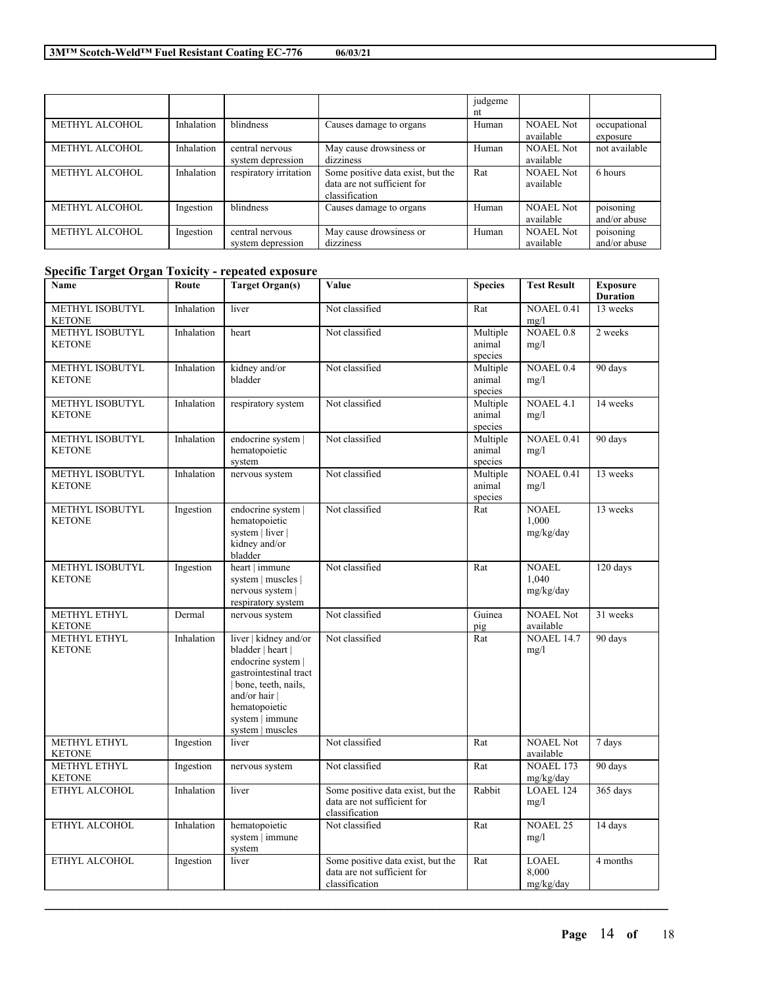| 06/03/21 |  |
|----------|--|
|----------|--|

|                       |            |                        |                                   | judgeme |                  |               |
|-----------------------|------------|------------------------|-----------------------------------|---------|------------------|---------------|
|                       |            |                        |                                   | nt      |                  |               |
| <b>METHYL ALCOHOL</b> | Inhalation | <b>blindness</b>       | Causes damage to organs           | Human   | <b>NOAEL Not</b> | occupational  |
|                       |            |                        |                                   |         | available        | exposure      |
| <b>METHYL ALCOHOL</b> | Inhalation | central nervous        | May cause drowsiness or           | Human   | <b>NOAEL Not</b> | not available |
|                       |            | system depression      | dizziness                         |         | available        |               |
| METHYL ALCOHOL        | Inhalation | respiratory irritation | Some positive data exist, but the | Rat     | <b>NOAEL Not</b> | 6 hours       |
|                       |            |                        | data are not sufficient for       |         | available        |               |
|                       |            |                        | classification                    |         |                  |               |
| <b>METHYL ALCOHOL</b> | Ingestion  | blindness              | Causes damage to organs           | Human   | <b>NOAEL Not</b> | poisoning     |
|                       |            |                        |                                   |         | available        | and/or abuse  |
| <b>METHYL ALCOHOL</b> | Ingestion  | central nervous        | May cause drowsiness or           | Human   | <b>NOAEL Not</b> | poisoning     |
|                       |            | system depression      | dizziness                         |         | available        | and/or abuse  |

# **Specific Target Organ Toxicity - repeated exposure**

| Name                                    | Route      | <b>Target Organ(s)</b>                                                                                                                                                                     | Value                                                                              | <b>Species</b>                | <b>Test Result</b>                 | <b>Exposure</b><br><b>Duration</b> |
|-----------------------------------------|------------|--------------------------------------------------------------------------------------------------------------------------------------------------------------------------------------------|------------------------------------------------------------------------------------|-------------------------------|------------------------------------|------------------------------------|
| METHYL ISOBUTYL<br><b>KETONE</b>        | Inhalation | liver                                                                                                                                                                                      | Not classified                                                                     | Rat                           | NOAEL 0.41<br>mg/l                 | 13 weeks                           |
| METHYL ISOBUTYL<br><b>KETONE</b>        | Inhalation | heart                                                                                                                                                                                      | Not classified                                                                     | Multiple<br>animal<br>species | <b>NOAEL 0.8</b><br>mg/l           | 2 weeks                            |
| <b>METHYL ISOBUTYL</b><br><b>KETONE</b> | Inhalation | kidney and/or<br>bladder                                                                                                                                                                   | Not classified                                                                     | Multiple<br>animal<br>species | <b>NOAEL 0.4</b><br>mg/l           | 90 days                            |
| METHYL ISOBUTYL<br><b>KETONE</b>        | Inhalation | respiratory system                                                                                                                                                                         | Not classified                                                                     | Multiple<br>animal<br>species | <b>NOAEL 4.1</b><br>mg/l           | 14 weeks                           |
| <b>METHYL ISOBUTYL</b><br><b>KETONE</b> | Inhalation | endocrine system  <br>hematopoietic<br>system                                                                                                                                              | Not classified                                                                     | Multiple<br>animal<br>species | NOAEL 0.41<br>mg/l                 | 90 days                            |
| METHYL ISOBUTYL<br><b>KETONE</b>        | Inhalation | nervous system                                                                                                                                                                             | Not classified                                                                     | Multiple<br>animal<br>species | NOAEL 0.41<br>mg/l                 | 13 weeks                           |
| <b>METHYL ISOBUTYL</b><br><b>KETONE</b> | Ingestion  | endocrine system  <br>hematopoietic<br>system   liver  <br>kidney and/or<br>bladder                                                                                                        | Not classified                                                                     | Rat                           | <b>NOAEL</b><br>1.000<br>mg/kg/day | 13 weeks                           |
| METHYL ISOBUTYL<br><b>KETONE</b>        | Ingestion  | heart   immune<br>system   muscles  <br>nervous system  <br>respiratory system                                                                                                             | Not classified                                                                     | Rat                           | <b>NOAEL</b><br>1.040<br>mg/kg/day | 120 days                           |
| METHYL ETHYL<br><b>KETONE</b>           | Dermal     | nervous system                                                                                                                                                                             | Not classified                                                                     | Guinea<br>pig                 | <b>NOAEL Not</b><br>available      | 31 weeks                           |
| METHYL ETHYL<br><b>KETONE</b>           | Inhalation | liver   kidney and/or<br>bladder   heart  <br>endocrine system  <br>gastrointestinal tract<br>bone, teeth, nails,<br>and/or hair  <br>hematopoietic<br>system   immune<br>system   muscles | Not classified                                                                     | Rat                           | <b>NOAEL 14.7</b><br>mg/l          | 90 days                            |
| METHYL ETHYL<br>KETONE                  | Ingestion  | liver                                                                                                                                                                                      | Not classified                                                                     | Rat                           | <b>NOAEL Not</b><br>available      | 7 days                             |
| METHYL ETHYL<br><b>KETONE</b>           | Ingestion  | nervous system                                                                                                                                                                             | Not classified                                                                     | Rat                           | <b>NOAEL 173</b><br>mg/kg/day      | 90 days                            |
| ETHYL ALCOHOL                           | Inhalation | liver                                                                                                                                                                                      | Some positive data exist, but the<br>data are not sufficient for<br>classification | Rabbit                        | <b>LOAEL 124</b><br>mg/l           | 365 days                           |
| ETHYL ALCOHOL                           | Inhalation | hematopoietic<br>system   immune<br>system                                                                                                                                                 | Not classified                                                                     | Rat                           | <b>NOAEL 25</b><br>mg/l            | 14 days                            |
| ETHYL ALCOHOL                           | Ingestion  | liver                                                                                                                                                                                      | Some positive data exist, but the<br>data are not sufficient for<br>classification | Rat                           | <b>LOAEL</b><br>8,000<br>mg/kg/day | 4 months                           |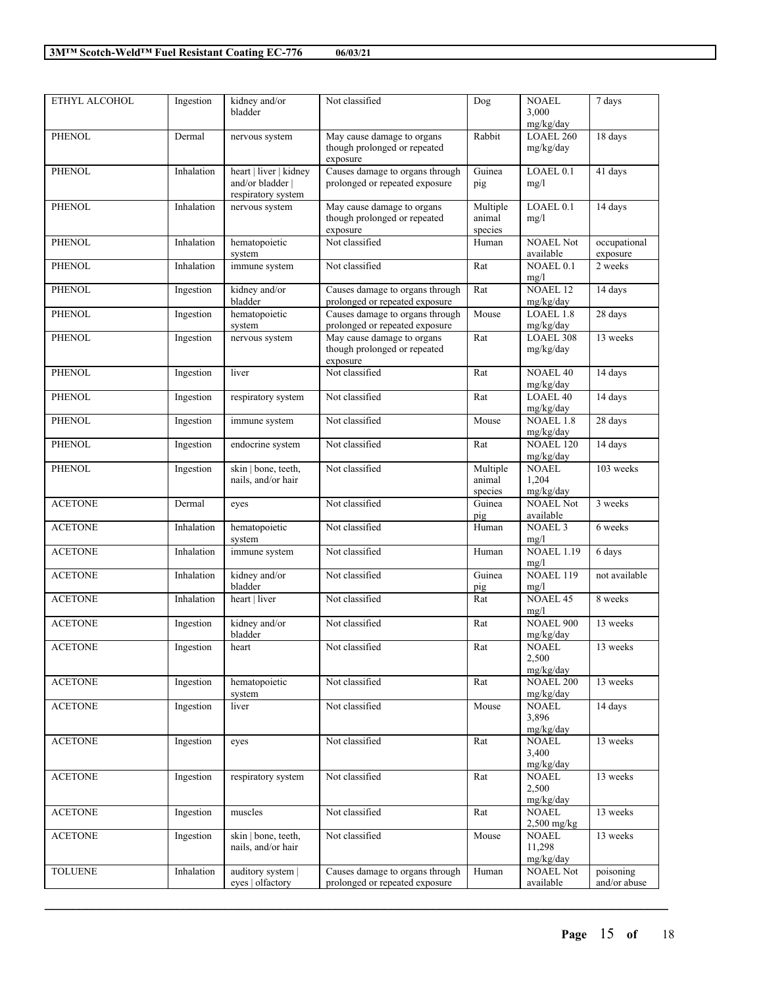| 06/03/21 |  |
|----------|--|
|          |  |

| ETHYL ALCOHOL  | Ingestion  | kidney and/or          | Not classified                  | Dog      | <b>NOAEL</b>         | 7 days            |
|----------------|------------|------------------------|---------------------------------|----------|----------------------|-------------------|
|                |            | bladder                |                                 |          | 3,000                |                   |
|                |            |                        |                                 |          | mg/kg/day            |                   |
| <b>PHENOL</b>  | Dermal     | nervous system         | May cause damage to organs      | Rabbit   | LOAEL 260            | 18 days           |
|                |            |                        | though prolonged or repeated    |          | mg/kg/day            |                   |
|                |            |                        | exposure                        |          |                      |                   |
| <b>PHENOL</b>  | Inhalation | heart   liver   kidney | Causes damage to organs through | Guinea   | LOAEL <sub>0.1</sub> | 41 days           |
|                |            | and/or bladder         | prolonged or repeated exposure  | pig      | mg/l                 |                   |
|                |            | respiratory system     |                                 |          |                      |                   |
| <b>PHENOL</b>  | Inhalation | nervous system         | May cause damage to organs      | Multiple | LOAEL <sub>0.1</sub> | 14 days           |
|                |            |                        | though prolonged or repeated    | animal   | mg/l                 |                   |
|                |            |                        | exposure                        | species  |                      |                   |
| <b>PHENOL</b>  | Inhalation | hematopoietic          | Not classified                  | Human    | <b>NOAEL Not</b>     | occupational      |
|                |            | system                 |                                 |          | available            | exposure          |
| <b>PHENOL</b>  | Inhalation | immune system          | Not classified                  | Rat      | NOAEL 0.1            | 2 weeks           |
|                |            |                        |                                 |          | mg/l                 |                   |
| <b>PHENOL</b>  | Ingestion  | kidney and/or          | Causes damage to organs through | Rat      | <b>NOAEL 12</b>      | 14 days           |
|                |            | bladder                | prolonged or repeated exposure  |          | mg/kg/day            |                   |
| <b>PHENOL</b>  | Ingestion  | hematopoietic          | Causes damage to organs through | Mouse    | <b>LOAEL 1.8</b>     | 28 days           |
|                |            | system                 | prolonged or repeated exposure  |          | mg/kg/day            |                   |
| <b>PHENOL</b>  | Ingestion  | nervous system         | May cause damage to organs      | Rat      | LOAEL 308            | 13 weeks          |
|                |            |                        | though prolonged or repeated    |          | mg/kg/day            |                   |
|                |            |                        | exposure                        |          |                      |                   |
| <b>PHENOL</b>  | Ingestion  | liver                  | Not classified                  | Rat      | <b>NOAEL 40</b>      | $14 \text{ days}$ |
|                |            |                        |                                 |          | mg/kg/day            |                   |
| <b>PHENOL</b>  | Ingestion  | respiratory system     | Not classified                  | Rat      | <b>LOAEL 40</b>      | 14 days           |
|                |            |                        |                                 |          | mg/kg/day            |                   |
| <b>PHENOL</b>  | Ingestion  | immune system          | Not classified                  | Mouse    | NOAEL 1.8            | $28 \text{ days}$ |
|                |            |                        |                                 |          | mg/kg/day            |                   |
| <b>PHENOL</b>  | Ingestion  | endocrine system       | Not classified                  | Rat      | NOAEL 120            | 14 days           |
|                |            |                        |                                 |          | mg/kg/day            |                   |
| <b>PHENOL</b>  | Ingestion  | skin   bone, teeth,    | Not classified                  | Multiple | <b>NOAEL</b>         | 103 weeks         |
|                |            | nails, and/or hair     |                                 | animal   | 1,204                |                   |
|                |            |                        |                                 | species  | mg/kg/day            |                   |
| <b>ACETONE</b> | Dermal     | eyes                   | Not classified                  | Guinea   | <b>NOAEL Not</b>     | 3 weeks           |
|                |            |                        |                                 | pig      | available            |                   |
| <b>ACETONE</b> | Inhalation | hematopoietic          | Not classified                  | Human    | <b>NOAEL 3</b>       | 6 weeks           |
|                |            | system                 |                                 |          | mg/l                 |                   |
| <b>ACETONE</b> | Inhalation | immune system          | Not classified                  | Human    | <b>NOAEL 1.19</b>    | 6 days            |
|                |            |                        |                                 |          | mg/l                 |                   |
| <b>ACETONE</b> | Inhalation | kidney and/or          | Not classified                  | Guinea   | <b>NOAEL 119</b>     | not available     |
|                |            | bladder                |                                 | pig      | mg/l                 |                   |
| <b>ACETONE</b> | Inhalation | heart   liver          | Not classified                  | Rat      | <b>NOAEL 45</b>      | 8 weeks           |
|                |            |                        |                                 |          | mg/l                 |                   |
| <b>ACETONE</b> | Ingestion  | kidney and/or          | Not classified                  | Rat      | <b>NOAEL 900</b>     | 13 weeks          |
|                |            | bladder                |                                 |          | mg/kg/day            |                   |
| <b>ACETONE</b> | Ingestion  | heart                  | Not classified                  | Rat      | <b>NOAEL</b>         | 13 weeks          |
|                |            |                        |                                 |          | 2,500                |                   |
|                |            |                        |                                 |          | mg/kg/day            |                   |
| <b>ACETONE</b> | Ingestion  | hematopoietic          | Not classified                  | Rat      | <b>NOAEL 200</b>     | 13 weeks          |
|                |            | system                 |                                 |          | mg/kg/day            |                   |
| <b>ACETONE</b> | Ingestion  | liver                  | Not classified                  | Mouse    | <b>NOAEL</b>         | 14 days           |
|                |            |                        |                                 |          | 3,896                |                   |
|                |            |                        |                                 |          | mg/kg/day            |                   |
| <b>ACETONE</b> | Ingestion  | eyes                   | Not classified                  | Rat      | <b>NOAEL</b>         | 13 weeks          |
|                |            |                        |                                 |          | 3,400                |                   |
|                |            |                        |                                 |          | mg/kg/day            |                   |
| <b>ACETONE</b> | Ingestion  | respiratory system     | Not classified                  | Rat      | <b>NOAEL</b>         | 13 weeks          |
|                |            |                        |                                 |          | 2,500                |                   |
|                |            |                        |                                 |          | mg/kg/day            |                   |
| <b>ACETONE</b> | Ingestion  | muscles                | Not classified                  | Rat      | <b>NOAEL</b>         | 13 weeks          |
|                |            |                        |                                 |          | $2,500$ mg/kg        |                   |
| <b>ACETONE</b> | Ingestion  | skin   bone, teeth,    | Not classified                  | Mouse    | <b>NOAEL</b>         | 13 weeks          |
|                |            | nails, and/or hair     |                                 |          | 11,298               |                   |
|                |            |                        |                                 |          | mg/kg/day            |                   |
| <b>TOLUENE</b> | Inhalation | auditory system        | Causes damage to organs through | Human    | <b>NOAEL Not</b>     | poisoning         |
|                |            | eyes   olfactory       | prolonged or repeated exposure  |          | available            | and/or abuse      |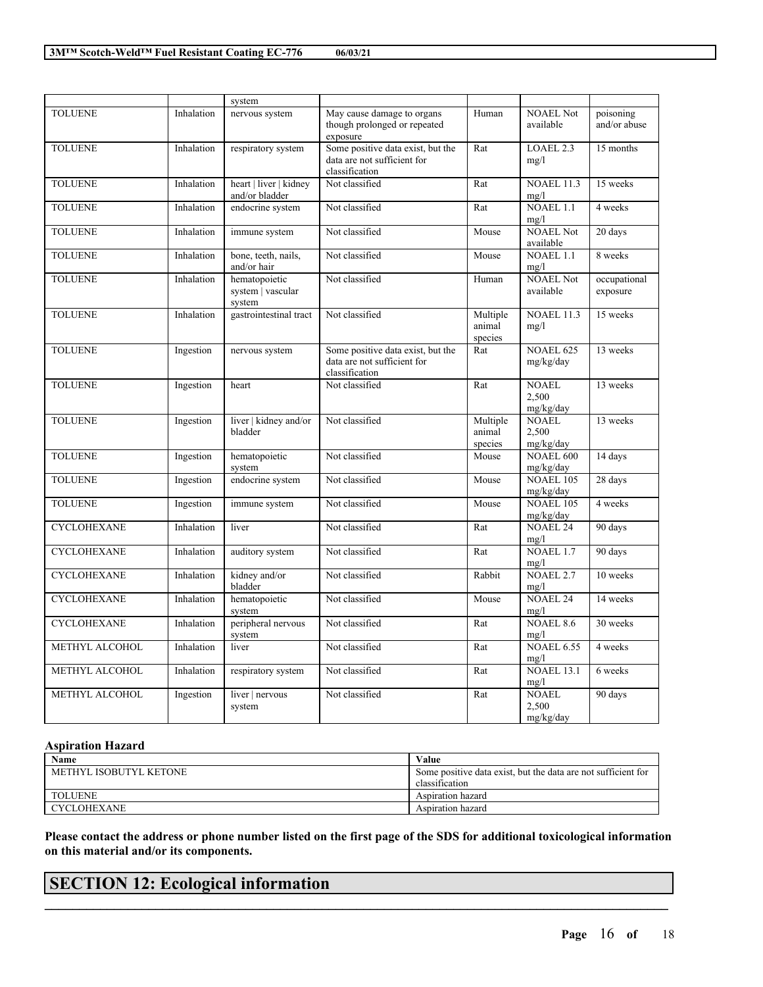| 06/03/21 |  |
|----------|--|

|                    |            | system                                       |                                                                                    |                               |                                    |                           |
|--------------------|------------|----------------------------------------------|------------------------------------------------------------------------------------|-------------------------------|------------------------------------|---------------------------|
| <b>TOLUENE</b>     | Inhalation | nervous system                               | May cause damage to organs<br>though prolonged or repeated<br>exposure             | Human                         | <b>NOAEL Not</b><br>available      | poisoning<br>and/or abuse |
| <b>TOLUENE</b>     | Inhalation | respiratory system                           | Some positive data exist, but the<br>data are not sufficient for<br>classification | Rat                           | LOAEL 2.3<br>mg/l                  | 15 months                 |
| <b>TOLUENE</b>     | Inhalation | heart   liver   kidney<br>and/or bladder     | Not classified                                                                     | Rat                           | <b>NOAEL 11.3</b><br>mg/l          | 15 weeks                  |
| <b>TOLUENE</b>     | Inhalation | endocrine system                             | Not classified                                                                     | Rat                           | <b>NOAEL 1.1</b><br>mg/l           | 4 weeks                   |
| <b>TOLUENE</b>     | Inhalation | immune system                                | Not classified                                                                     | Mouse                         | <b>NOAEL Not</b><br>available      | 20 days                   |
| <b>TOLUENE</b>     | Inhalation | bone, teeth, nails,<br>and/or hair           | Not classified                                                                     | Mouse                         | <b>NOAEL 1.1</b><br>mg/l           | 8 weeks                   |
| <b>TOLUENE</b>     | Inhalation | hematopoietic<br>system   vascular<br>system | Not classified                                                                     | Human                         | <b>NOAEL Not</b><br>available      | occupational<br>exposure  |
| <b>TOLUENE</b>     | Inhalation | gastrointestinal tract                       | Not classified                                                                     | Multiple<br>animal<br>species | <b>NOAEL 11.3</b><br>mg/l          | 15 weeks                  |
| <b>TOLUENE</b>     | Ingestion  | nervous system                               | Some positive data exist, but the<br>data are not sufficient for<br>classification | Rat                           | <b>NOAEL 625</b><br>mg/kg/day      | 13 weeks                  |
| <b>TOLUENE</b>     | Ingestion  | heart                                        | Not classified                                                                     | Rat                           | <b>NOAEL</b><br>2.500<br>mg/kg/day | 13 weeks                  |
| <b>TOLUENE</b>     | Ingestion  | liver   kidney and/or<br>bladder             | Not classified                                                                     | Multiple<br>animal<br>species | NOAEL<br>2.500<br>mg/kg/day        | 13 weeks                  |
| <b>TOLUENE</b>     | Ingestion  | hematopoietic<br>system                      | Not classified                                                                     | Mouse                         | <b>NOAEL 600</b><br>mg/kg/day      | 14 days                   |
| <b>TOLUENE</b>     | Ingestion  | endocrine system                             | Not classified                                                                     | Mouse                         | <b>NOAEL 105</b><br>mg/kg/day      | 28 days                   |
| <b>TOLUENE</b>     | Ingestion  | immune system                                | Not classified                                                                     | Mouse                         | <b>NOAEL 105</b><br>mg/kg/day      | 4 weeks                   |
| <b>CYCLOHEXANE</b> | Inhalation | liver                                        | Not classified                                                                     | Rat                           | NOAEL <sub>24</sub><br>mg/l        | 90 days                   |
| <b>CYCLOHEXANE</b> | Inhalation | auditory system                              | Not classified                                                                     | Rat                           | NOAEL <sub>1.7</sub><br>mg/l       | 90 days                   |
| <b>CYCLOHEXANE</b> | Inhalation | kidney and/or<br>bladder                     | Not classified                                                                     | Rabbit                        | NOAEL.2.7<br>mg/l                  | 10 weeks                  |
| <b>CYCLOHEXANE</b> | Inhalation | hematopoietic<br>system                      | Not classified                                                                     | Mouse                         | <b>NOAEL 24</b><br>mg/l            | $\overline{14}$ weeks     |
| <b>CYCLOHEXANE</b> | Inhalation | peripheral nervous<br>system                 | Not classified                                                                     | Rat                           | NOAEL 8.6<br>mg/l                  | 30 weeks                  |
| METHYL ALCOHOL     | Inhalation | liver                                        | Not classified                                                                     | Rat                           | <b>NOAEL 6.55</b><br>mg/l          | 4 weeks                   |
| METHYL ALCOHOL     | Inhalation | respiratory system                           | Not classified                                                                     | Rat                           | <b>NOAEL 13.1</b><br>mg/l          | 6 weeks                   |
| METHYL ALCOHOL     | Ingestion  | liver   nervous<br>system                    | Not classified                                                                     | Rat                           | NOAEL<br>2,500<br>mg/kg/day        | 90 days                   |

## **Aspiration Hazard**

| Name                   | Value                                                         |
|------------------------|---------------------------------------------------------------|
| METHYL ISOBUTYL KETONE | Some positive data exist, but the data are not sufficient for |
|                        | classification                                                |
| <b>TOLUENE</b>         | Aspiration hazard                                             |
| <b>CYCLOHEXANE</b>     | Aspiration hazard                                             |

Please contact the address or phone number listed on the first page of the SDS for additional toxicological information **on this material and/or its components.**

 $\mathcal{L}_\mathcal{L} = \mathcal{L}_\mathcal{L} = \mathcal{L}_\mathcal{L} = \mathcal{L}_\mathcal{L} = \mathcal{L}_\mathcal{L} = \mathcal{L}_\mathcal{L} = \mathcal{L}_\mathcal{L} = \mathcal{L}_\mathcal{L} = \mathcal{L}_\mathcal{L} = \mathcal{L}_\mathcal{L} = \mathcal{L}_\mathcal{L} = \mathcal{L}_\mathcal{L} = \mathcal{L}_\mathcal{L} = \mathcal{L}_\mathcal{L} = \mathcal{L}_\mathcal{L} = \mathcal{L}_\mathcal{L} = \mathcal{L}_\mathcal{L}$ 

# **SECTION 12: Ecological information**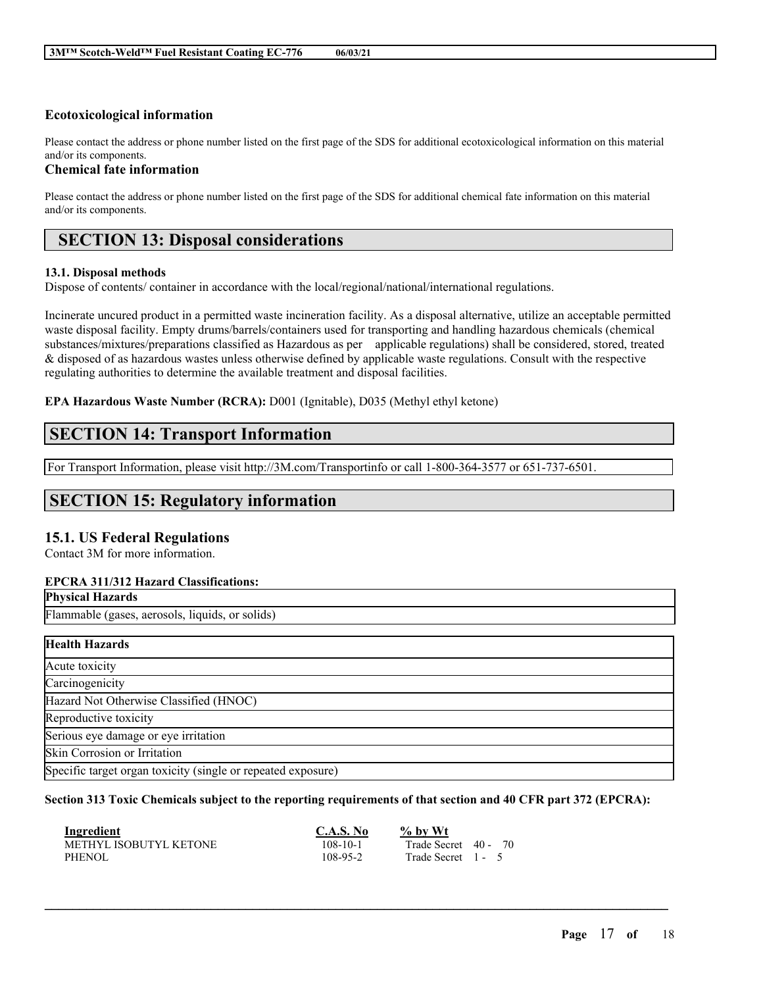## **Ecotoxicological information**

Please contact the address or phone number listed on the first page of the SDS for additional ecotoxicological information on this material and/or its components.

## **Chemical fate information**

Please contact the address or phone number listed on the first page of the SDS for additional chemical fate information on this material and/or its components.

# **SECTION 13: Disposal considerations**

### **13.1. Disposal methods**

Dispose of contents/ container in accordance with the local/regional/national/international regulations.

Incinerate uncured product in a permitted waste incineration facility. As a disposal alternative, utilize an acceptable permitted waste disposal facility. Empty drums/barrels/containers used for transporting and handling hazardous chemicals (chemical substances/mixtures/preparations classified as Hazardous as per applicable regulations) shall be considered, stored, treated & disposed of as hazardous wastes unless otherwise defined by applicable waste regulations. Consult with the respective regulating authorities to determine the available treatment and disposal facilities.

## **EPA Hazardous Waste Number (RCRA):** D001 (Ignitable), D035 (Methyl ethyl ketone)

# **SECTION 14: Transport Information**

For Transport Information, please visit http://3M.com/Transportinfo or call 1-800-364-3577 or 651-737-6501.

# **SECTION 15: Regulatory information**

## **15.1. US Federal Regulations**

Contact 3M for more information.

## **EPCRA 311/312 Hazard Classifications:**

Flammable (gases, aerosols, liquids, or solids)

| <b>Health Hazards</b>                                        |
|--------------------------------------------------------------|
| Acute toxicity                                               |
| Carcinogenicity                                              |
| Hazard Not Otherwise Classified (HNOC)                       |
| Reproductive toxicity                                        |
| Serious eye damage or eye irritation                         |
| Skin Corrosion or Irritation                                 |
| Specific target organ toxicity (single or repeated exposure) |

#### Section 313 Toxic Chemicals subject to the reporting requirements of that section and 40 CFR part 372 (EPCRA):

| Ingredient             | C.A.S. No | $\%$ by Wt           |  |
|------------------------|-----------|----------------------|--|
| METHYL ISOBUTYL KETONE | 108-10-1  | Trade Secret 40 - 70 |  |
| PHENOL                 | 108-95-2  | Trade Secret 1 - 5   |  |